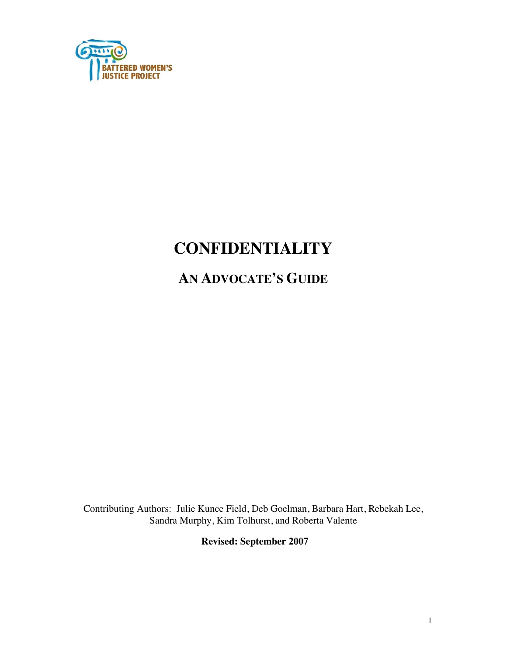

# **CONFIDENTIALITY**

# **AN ADVOCATE'S GUIDE**

Contributing Authors: Julie Kunce Field, Deb Goelman, Barbara Hart, Rebekah Lee, Sandra Murphy, Kim Tolhurst, and Roberta Valente

**Revised: September 2007**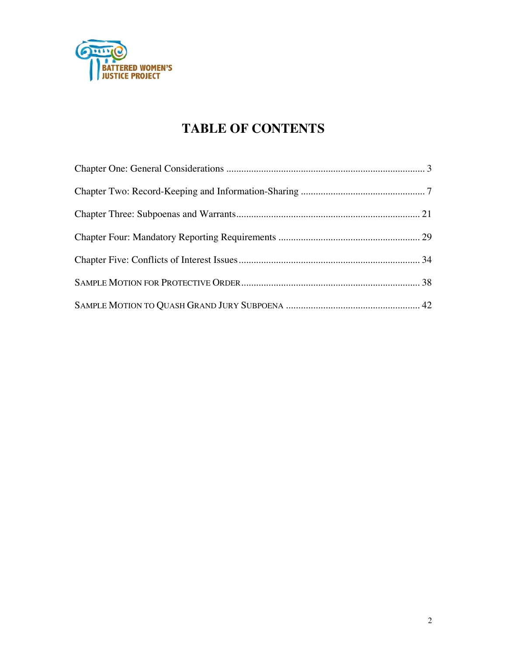

# **TABLE OF CONTENTS**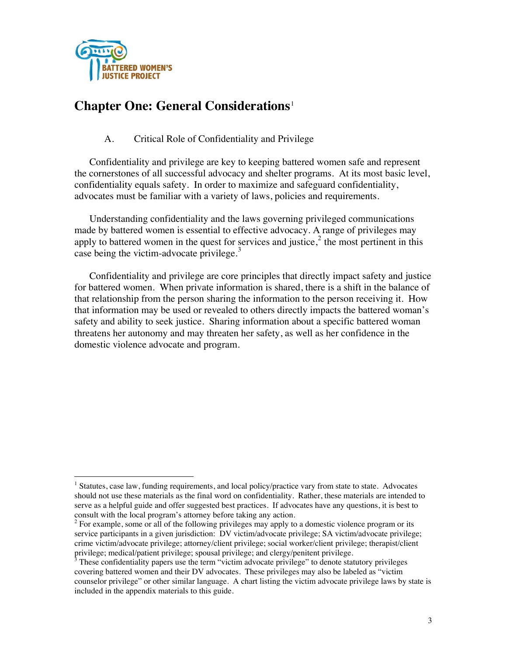

 $\overline{a}$ 

## **Chapter One: General Considerations**<sup>1</sup>

## A. Critical Role of Confidentiality and Privilege

Confidentiality and privilege are key to keeping battered women safe and represent the cornerstones of all successful advocacy and shelter programs. At its most basic level, confidentiality equals safety. In order to maximize and safeguard confidentiality, advocates must be familiar with a variety of laws, policies and requirements.

Understanding confidentiality and the laws governing privileged communications made by battered women is essential to effective advocacy. A range of privileges may apply to battered women in the quest for services and justice, $2$  the most pertinent in this case being the victim-advocate privilege. $3$ 

Confidentiality and privilege are core principles that directly impact safety and justice for battered women. When private information is shared, there is a shift in the balance of that relationship from the person sharing the information to the person receiving it. How that information may be used or revealed to others directly impacts the battered woman's safety and ability to seek justice. Sharing information about a specific battered woman threatens her autonomy and may threaten her safety, as well as her confidence in the domestic violence advocate and program.

<sup>&</sup>lt;sup>1</sup> Statutes, case law, funding requirements, and local policy/practice vary from state to state. Advocates should not use these materials as the final word on confidentiality. Rather, these materials are intended to serve as a helpful guide and offer suggested best practices. If advocates have any questions, it is best to consult with the local program's attorney before taking any action.

 $2^2$  For example, some or all of the following privileges may apply to a domestic violence program or its service participants in a given jurisdiction: DV victim/advocate privilege; SA victim/advocate privilege; crime victim/advocate privilege; attorney/client privilege; social worker/client privilege; therapist/client

privilege; medical/patient privilege; spousal privilege; and clergy/penitent privilege.<br><sup>3</sup> These confidentiality papers use the term "victim advocate privilege" to denote statutory privileges covering battered women and their DV advocates. These privileges may also be labeled as "victim counselor privilege" or other similar language. A chart listing the victim advocate privilege laws by state is included in the appendix materials to this guide.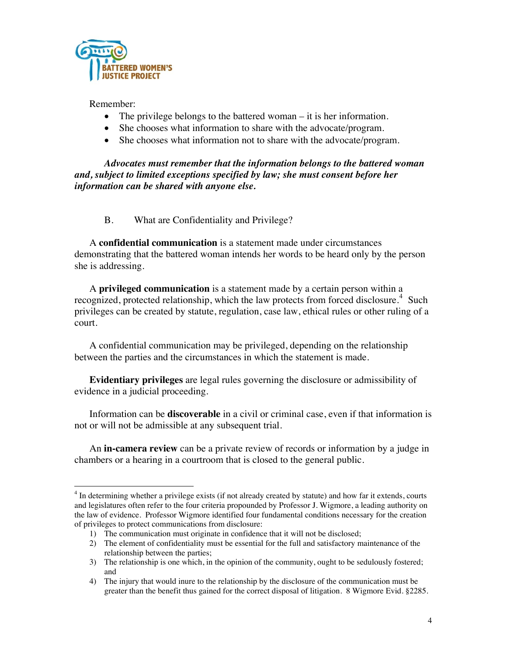

Remember:

- The privilege belongs to the battered woman it is her information.
- She chooses what information to share with the advocate/program.
- She chooses what information not to share with the advocate/program.

*Advocates must remember that the information belongs to the battered woman and, subject to limited exceptions specified by law; she must consent before her information can be shared with anyone else.* 

## B. What are Confidentiality and Privilege?

A **confidential communication** is a statement made under circumstances demonstrating that the battered woman intends her words to be heard only by the person she is addressing.

A **privileged communication** is a statement made by a certain person within a recognized, protected relationship, which the law protects from forced disclosure.<sup>4</sup> Such privileges can be created by statute, regulation, case law, ethical rules or other ruling of a court.

A confidential communication may be privileged, depending on the relationship between the parties and the circumstances in which the statement is made.

**Evidentiary privileges** are legal rules governing the disclosure or admissibility of evidence in a judicial proceeding.

Information can be **discoverable** in a civil or criminal case, even if that information is not or will not be admissible at any subsequent trial.

An **in-camera review** can be a private review of records or information by a judge in chambers or a hearing in a courtroom that is closed to the general public.

<sup>&</sup>lt;sup>4</sup> In determining whether a privilege exists (if not already created by statute) and how far it extends, courts and legislatures often refer to the four criteria propounded by Professor J. Wigmore, a leading authority on the law of evidence. Professor Wigmore identified four fundamental conditions necessary for the creation of privileges to protect communications from disclosure:

<sup>1)</sup> The communication must originate in confidence that it will not be disclosed;

<sup>2)</sup> The element of confidentiality must be essential for the full and satisfactory maintenance of the relationship between the parties;

<sup>3)</sup> The relationship is one which, in the opinion of the community, ought to be sedulously fostered; and

<sup>4)</sup> The injury that would inure to the relationship by the disclosure of the communication must be greater than the benefit thus gained for the correct disposal of litigation. 8 Wigmore Evid. §2285.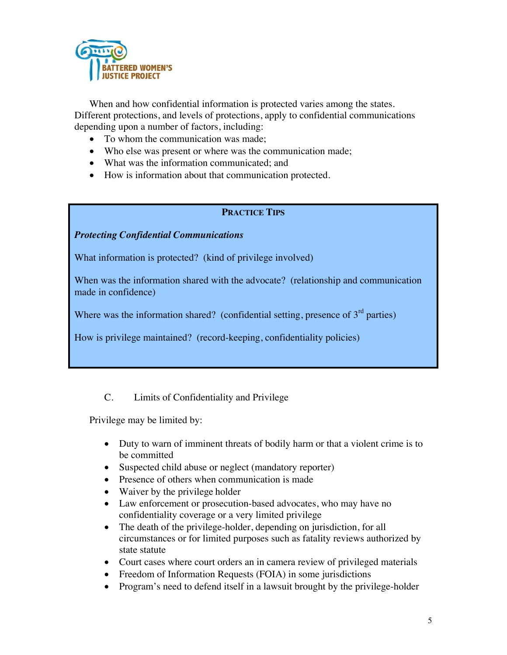

When and how confidential information is protected varies among the states. Different protections, and levels of protections, apply to confidential communications depending upon a number of factors, including:

- To whom the communication was made;
- Who else was present or where was the communication made;
- What was the information communicated; and
- How is information about that communication protected.

## **PRACTICE TIPS**

### *Protecting Confidential Communications*

What information is protected? (kind of privilege involved)

When was the information shared with the advocate? (relationship and communication made in confidence)

Where was the information shared? (confidential setting, presence of  $3<sup>rd</sup>$  parties)

How is privilege maintained? (record-keeping, confidentiality policies)

## C. Limits of Confidentiality and Privilege

Privilege may be limited by:

- Duty to warn of imminent threats of bodily harm or that a violent crime is to be committed
- Suspected child abuse or neglect (mandatory reporter)
- Presence of others when communication is made
- Waiver by the privilege holder
- Law enforcement or prosecution-based advocates, who may have no confidentiality coverage or a very limited privilege
- The death of the privilege-holder, depending on jurisdiction, for all circumstances or for limited purposes such as fatality reviews authorized by state statute
- Court cases where court orders an in camera review of privileged materials
- Freedom of Information Requests (FOIA) in some jurisdictions
- Program's need to defend itself in a lawsuit brought by the privilege-holder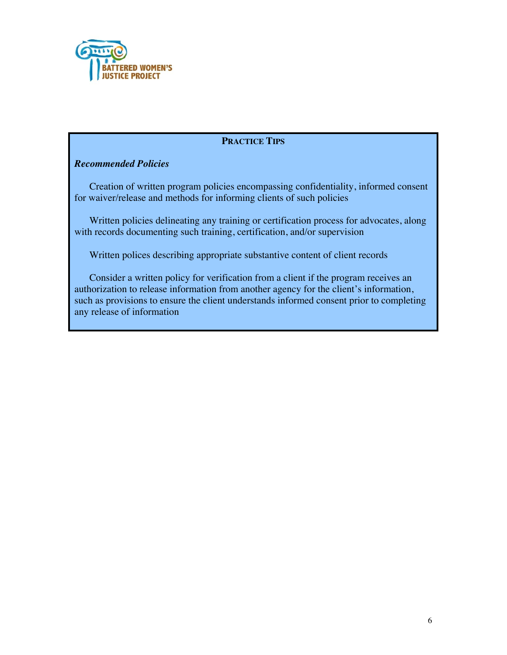

## **PRACTICE TIPS**

## *Recommended Policies*

Creation of written program policies encompassing confidentiality, informed consent for waiver/release and methods for informing clients of such policies

Written policies delineating any training or certification process for advocates, along with records documenting such training, certification, and/or supervision

Written polices describing appropriate substantive content of client records

Consider a written policy for verification from a client if the program receives an authorization to release information from another agency for the client's information, such as provisions to ensure the client understands informed consent prior to completing any release of information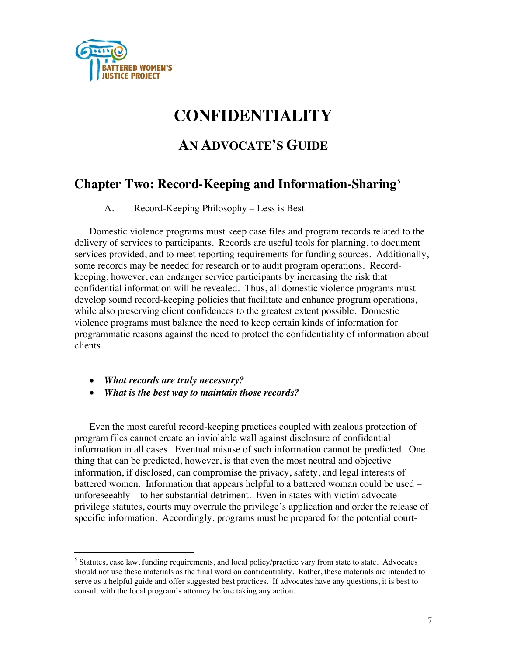

# **CONFIDENTIALITY**

# **AN ADVOCATE'S GUIDE**

## **Chapter Two: Record-Keeping and Information-Sharing**<sup>5</sup>

A. Record-Keeping Philosophy – Less is Best

Domestic violence programs must keep case files and program records related to the delivery of services to participants. Records are useful tools for planning, to document services provided, and to meet reporting requirements for funding sources. Additionally, some records may be needed for research or to audit program operations. Recordkeeping, however, can endanger service participants by increasing the risk that confidential information will be revealed. Thus, all domestic violence programs must develop sound record-keeping policies that facilitate and enhance program operations, while also preserving client confidences to the greatest extent possible. Domestic violence programs must balance the need to keep certain kinds of information for programmatic reasons against the need to protect the confidentiality of information about clients.

- *What records are truly necessary?*
- *What is the best way to maintain those records?*

Even the most careful record-keeping practices coupled with zealous protection of program files cannot create an inviolable wall against disclosure of confidential information in all cases. Eventual misuse of such information cannot be predicted. One thing that can be predicted, however, is that even the most neutral and objective information, if disclosed, can compromise the privacy, safety, and legal interests of battered women. Information that appears helpful to a battered woman could be used – unforeseeably – to her substantial detriment. Even in states with victim advocate privilege statutes, courts may overrule the privilege's application and order the release of specific information. Accordingly, programs must be prepared for the potential court-

<sup>&</sup>lt;sup>5</sup> Statutes, case law, funding requirements, and local policy/practice vary from state to state. Advocates should not use these materials as the final word on confidentiality. Rather, these materials are intended to serve as a helpful guide and offer suggested best practices. If advocates have any questions, it is best to consult with the local program's attorney before taking any action.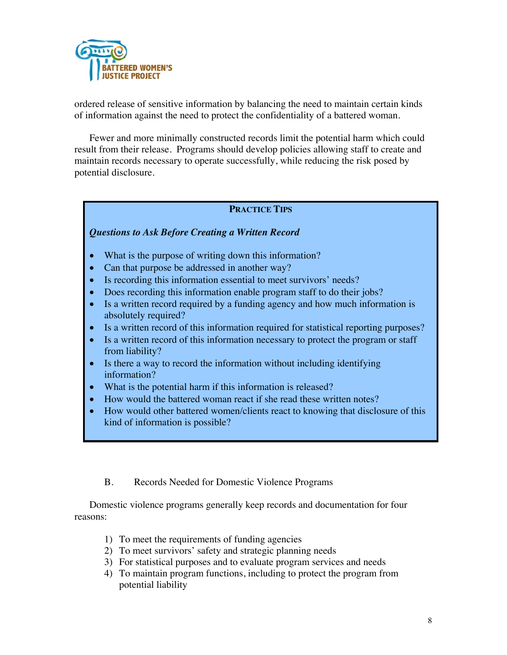

ordered release of sensitive information by balancing the need to maintain certain kinds of information against the need to protect the confidentiality of a battered woman.

Fewer and more minimally constructed records limit the potential harm which could result from their release. Programs should develop policies allowing staff to create and maintain records necessary to operate successfully, while reducing the risk posed by potential disclosure.

## **PRACTICE TIPS**

## *Questions to Ask Before Creating a Written Record*

- What is the purpose of writing down this information?
- Can that purpose be addressed in another way?
- Is recording this information essential to meet survivors' needs?
- Does recording this information enable program staff to do their jobs?
- Is a written record required by a funding agency and how much information is absolutely required?
- Is a written record of this information required for statistical reporting purposes?
- Is a written record of this information necessary to protect the program or staff from liability?
- Is there a way to record the information without including identifying information?
- What is the potential harm if this information is released?
- How would the battered woman react if she read these written notes?
- How would other battered women/clients react to knowing that disclosure of this kind of information is possible?
	- B. Records Needed for Domestic Violence Programs

Domestic violence programs generally keep records and documentation for four reasons:

- 1) To meet the requirements of funding agencies
- 2) To meet survivors' safety and strategic planning needs
- 3) For statistical purposes and to evaluate program services and needs
- 4) To maintain program functions, including to protect the program from potential liability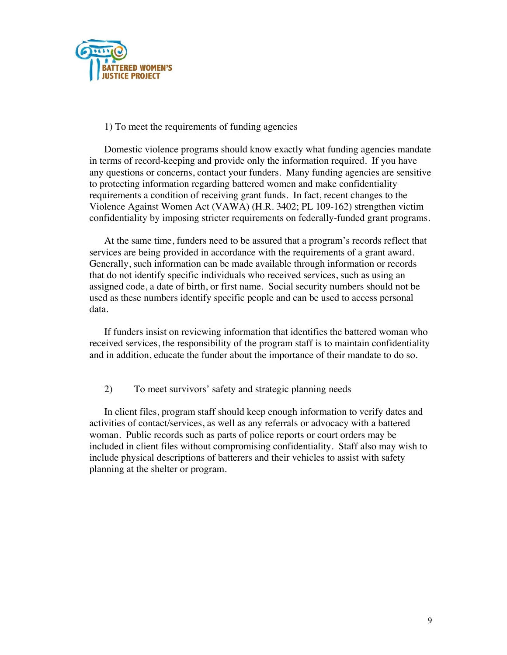

### 1) To meet the requirements of funding agencies

Domestic violence programs should know exactly what funding agencies mandate in terms of record-keeping and provide only the information required. If you have any questions or concerns, contact your funders. Many funding agencies are sensitive to protecting information regarding battered women and make confidentiality requirements a condition of receiving grant funds. In fact, recent changes to the Violence Against Women Act (VAWA) (H.R. 3402; PL 109-162) strengthen victim confidentiality by imposing stricter requirements on federally-funded grant programs.

At the same time, funders need to be assured that a program's records reflect that services are being provided in accordance with the requirements of a grant award. Generally, such information can be made available through information or records that do not identify specific individuals who received services, such as using an assigned code, a date of birth, or first name. Social security numbers should not be used as these numbers identify specific people and can be used to access personal data.

If funders insist on reviewing information that identifies the battered woman who received services, the responsibility of the program staff is to maintain confidentiality and in addition, educate the funder about the importance of their mandate to do so.

2) To meet survivors' safety and strategic planning needs

In client files, program staff should keep enough information to verify dates and activities of contact/services, as well as any referrals or advocacy with a battered woman. Public records such as parts of police reports or court orders may be included in client files without compromising confidentiality. Staff also may wish to include physical descriptions of batterers and their vehicles to assist with safety planning at the shelter or program.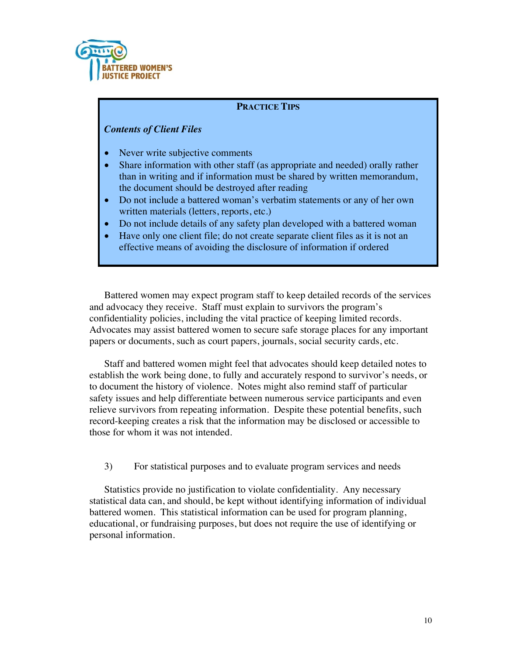

## **PRACTICE TIPS**

### *Contents of Client Files*

- Never write subjective comments
- Share information with other staff (as appropriate and needed) orally rather than in writing and if information must be shared by written memorandum, the document should be destroyed after reading
- Do not include a battered woman's verbatim statements or any of her own written materials (letters, reports, etc.)
- Do not include details of any safety plan developed with a battered woman
- Have only one client file; do not create separate client files as it is not an effective means of avoiding the disclosure of information if ordered

Battered women may expect program staff to keep detailed records of the services and advocacy they receive. Staff must explain to survivors the program's confidentiality policies, including the vital practice of keeping limited records. Advocates may assist battered women to secure safe storage places for any important papers or documents, such as court papers, journals, social security cards, etc.

Staff and battered women might feel that advocates should keep detailed notes to establish the work being done, to fully and accurately respond to survivor's needs, or to document the history of violence. Notes might also remind staff of particular safety issues and help differentiate between numerous service participants and even relieve survivors from repeating information. Despite these potential benefits, such record-keeping creates a risk that the information may be disclosed or accessible to those for whom it was not intended.

3) For statistical purposes and to evaluate program services and needs

Statistics provide no justification to violate confidentiality. Any necessary statistical data can, and should, be kept without identifying information of individual battered women. This statistical information can be used for program planning, educational, or fundraising purposes, but does not require the use of identifying or personal information.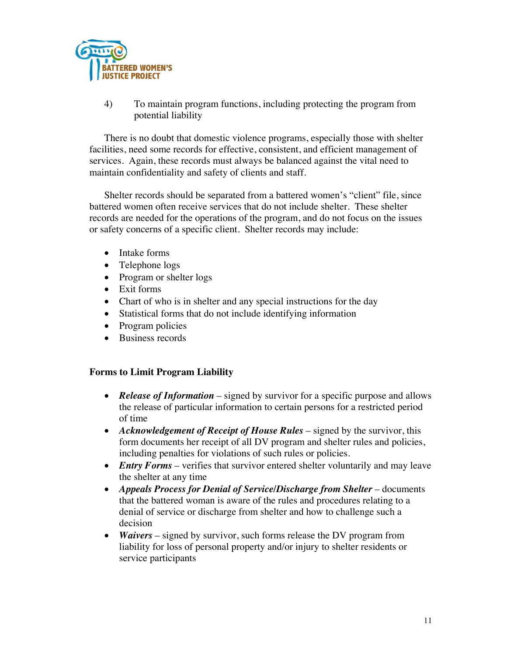

4) To maintain program functions, including protecting the program from potential liability

There is no doubt that domestic violence programs, especially those with shelter facilities, need some records for effective, consistent, and efficient management of services. Again, these records must always be balanced against the vital need to maintain confidentiality and safety of clients and staff.

Shelter records should be separated from a battered women's "client" file, since battered women often receive services that do not include shelter. These shelter records are needed for the operations of the program, and do not focus on the issues or safety concerns of a specific client. Shelter records may include:

- Intake forms
- Telephone logs
- Program or shelter logs
- Exit forms
- Chart of who is in shelter and any special instructions for the day
- Statistical forms that do not include identifying information
- Program policies
- Business records

#### **Forms to Limit Program Liability**

- *Release of Information* signed by survivor for a specific purpose and allows the release of particular information to certain persons for a restricted period of time
- *Acknowledgement of Receipt of House Rules* signed by the survivor, this form documents her receipt of all DV program and shelter rules and policies, including penalties for violations of such rules or policies.
- *Entry Forms* verifies that survivor entered shelter voluntarily and may leave the shelter at any time
- *Appeals Process for Denial of Service/Discharge from Shelter* documents that the battered woman is aware of the rules and procedures relating to a denial of service or discharge from shelter and how to challenge such a decision
- *Waivers* signed by survivor, such forms release the DV program from liability for loss of personal property and/or injury to shelter residents or service participants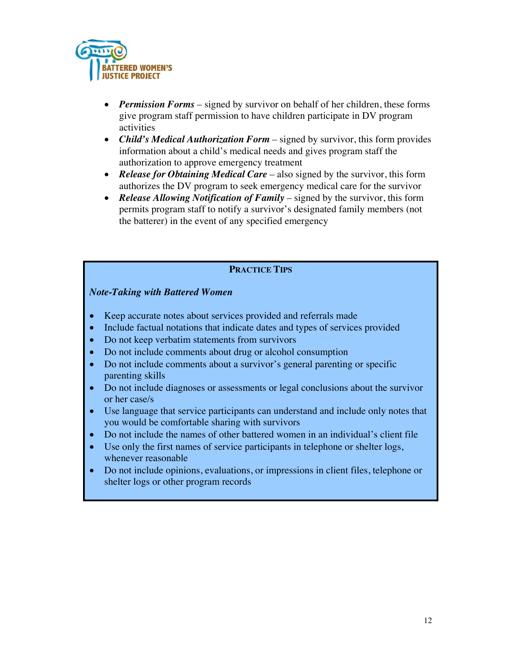

- *Permission Forms* signed by survivor on behalf of her children, these forms give program staff permission to have children participate in DV program activities
- *Child's Medical Authorization Form* signed by survivor, this form provides information about a child's medical needs and gives program staff the authorization to approve emergency treatment
- *Release for Obtaining Medical Care* also signed by the survivor, this form authorizes the DV program to seek emergency medical care for the survivor
- *Release Allowing Notification of Family* signed by the survivor, this form permits program staff to notify a survivor's designated family members (not the batterer) in the event of any specified emergency

## **PRACTICE TIPS**

## *Note-Taking with Battered Women*

- Keep accurate notes about services provided and referrals made
- Include factual notations that indicate dates and types of services provided
- Do not keep verbatim statements from survivors
- Do not include comments about drug or alcohol consumption
- Do not include comments about a survivor's general parenting or specific parenting skills
- Do not include diagnoses or assessments or legal conclusions about the survivor or her case/s
- Use language that service participants can understand and include only notes that you would be comfortable sharing with survivors
- Do not include the names of other battered women in an individual's client file
- Use only the first names of service participants in telephone or shelter logs, whenever reasonable
- Do not include opinions, evaluations, or impressions in client files, telephone or shelter logs or other program records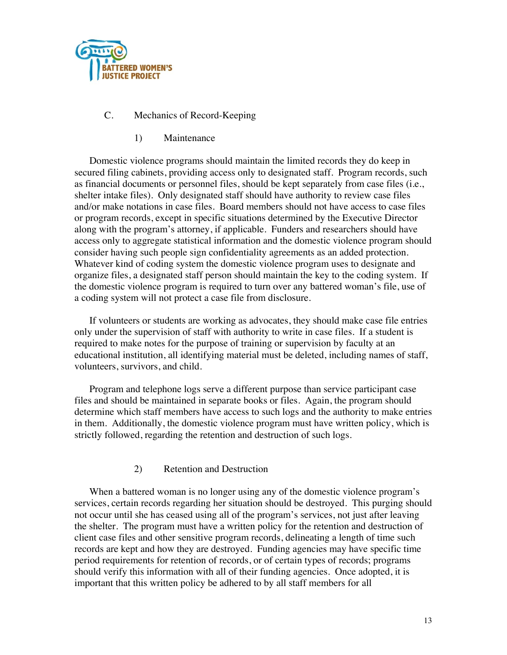

## C. Mechanics of Record-Keeping

1) Maintenance

Domestic violence programs should maintain the limited records they do keep in secured filing cabinets, providing access only to designated staff. Program records, such as financial documents or personnel files, should be kept separately from case files (i.e., shelter intake files). Only designated staff should have authority to review case files and/or make notations in case files. Board members should not have access to case files or program records, except in specific situations determined by the Executive Director along with the program's attorney, if applicable. Funders and researchers should have access only to aggregate statistical information and the domestic violence program should consider having such people sign confidentiality agreements as an added protection. Whatever kind of coding system the domestic violence program uses to designate and organize files, a designated staff person should maintain the key to the coding system. If the domestic violence program is required to turn over any battered woman's file, use of a coding system will not protect a case file from disclosure.

If volunteers or students are working as advocates, they should make case file entries only under the supervision of staff with authority to write in case files. If a student is required to make notes for the purpose of training or supervision by faculty at an educational institution, all identifying material must be deleted, including names of staff, volunteers, survivors, and child.

Program and telephone logs serve a different purpose than service participant case files and should be maintained in separate books or files. Again, the program should determine which staff members have access to such logs and the authority to make entries in them. Additionally, the domestic violence program must have written policy, which is strictly followed, regarding the retention and destruction of such logs.

## 2) Retention and Destruction

When a battered woman is no longer using any of the domestic violence program's services, certain records regarding her situation should be destroyed. This purging should not occur until she has ceased using all of the program's services, not just after leaving the shelter. The program must have a written policy for the retention and destruction of client case files and other sensitive program records, delineating a length of time such records are kept and how they are destroyed. Funding agencies may have specific time period requirements for retention of records, or of certain types of records; programs should verify this information with all of their funding agencies. Once adopted, it is important that this written policy be adhered to by all staff members for all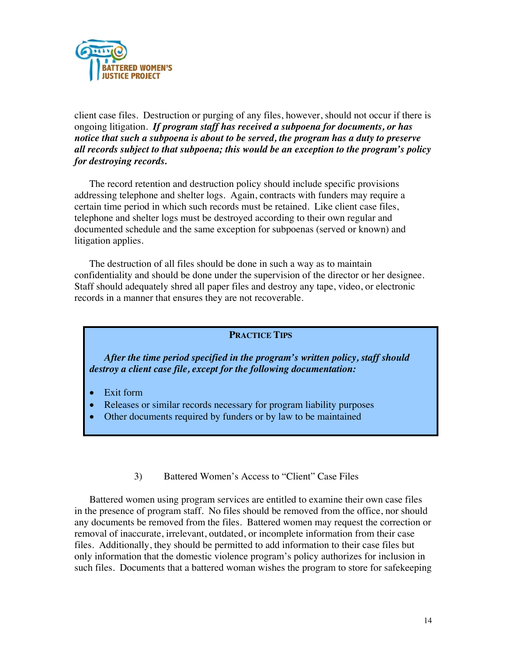

client case files. Destruction or purging of any files, however, should not occur if there is ongoing litigation. *If program staff has received a subpoena for documents, or has notice that such a subpoena is about to be served, the program has a duty to preserve all records subject to that subpoena; this would be an exception to the program's policy for destroying records.*

The record retention and destruction policy should include specific provisions addressing telephone and shelter logs. Again, contracts with funders may require a certain time period in which such records must be retained. Like client case files, telephone and shelter logs must be destroyed according to their own regular and documented schedule and the same exception for subpoenas (served or known) and litigation applies.

The destruction of all files should be done in such a way as to maintain confidentiality and should be done under the supervision of the director or her designee. Staff should adequately shred all paper files and destroy any tape, video, or electronic records in a manner that ensures they are not recoverable.

## **PRACTICE TIPS**

*After the time period specified in the program's written policy, staff should destroy a client case file, except for the following documentation:* 

- Exit form
- Releases or similar records necessary for program liability purposes
- Other documents required by funders or by law to be maintained
	- 3) Battered Women's Access to "Client" Case Files

Battered women using program services are entitled to examine their own case files in the presence of program staff. No files should be removed from the office, nor should any documents be removed from the files. Battered women may request the correction or removal of inaccurate, irrelevant, outdated, or incomplete information from their case files. Additionally, they should be permitted to add information to their case files but only information that the domestic violence program's policy authorizes for inclusion in such files. Documents that a battered woman wishes the program to store for safekeeping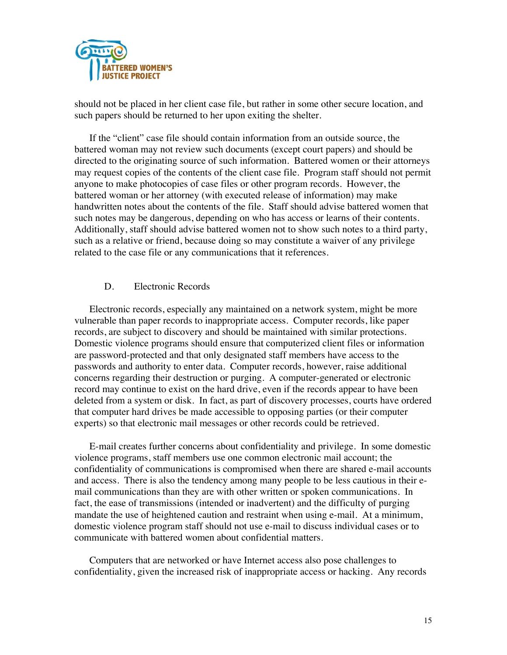

should not be placed in her client case file, but rather in some other secure location, and such papers should be returned to her upon exiting the shelter.

If the "client" case file should contain information from an outside source, the battered woman may not review such documents (except court papers) and should be directed to the originating source of such information. Battered women or their attorneys may request copies of the contents of the client case file. Program staff should not permit anyone to make photocopies of case files or other program records. However, the battered woman or her attorney (with executed release of information) may make handwritten notes about the contents of the file. Staff should advise battered women that such notes may be dangerous, depending on who has access or learns of their contents. Additionally, staff should advise battered women not to show such notes to a third party, such as a relative or friend, because doing so may constitute a waiver of any privilege related to the case file or any communications that it references.

#### D. Electronic Records

Electronic records, especially any maintained on a network system, might be more vulnerable than paper records to inappropriate access. Computer records, like paper records, are subject to discovery and should be maintained with similar protections. Domestic violence programs should ensure that computerized client files or information are password-protected and that only designated staff members have access to the passwords and authority to enter data. Computer records, however, raise additional concerns regarding their destruction or purging. A computer-generated or electronic record may continue to exist on the hard drive, even if the records appear to have been deleted from a system or disk. In fact, as part of discovery processes, courts have ordered that computer hard drives be made accessible to opposing parties (or their computer experts) so that electronic mail messages or other records could be retrieved.

E-mail creates further concerns about confidentiality and privilege. In some domestic violence programs, staff members use one common electronic mail account; the confidentiality of communications is compromised when there are shared e-mail accounts and access. There is also the tendency among many people to be less cautious in their email communications than they are with other written or spoken communications. In fact, the ease of transmissions (intended or inadvertent) and the difficulty of purging mandate the use of heightened caution and restraint when using e-mail. At a minimum, domestic violence program staff should not use e-mail to discuss individual cases or to communicate with battered women about confidential matters.

Computers that are networked or have Internet access also pose challenges to confidentiality, given the increased risk of inappropriate access or hacking. Any records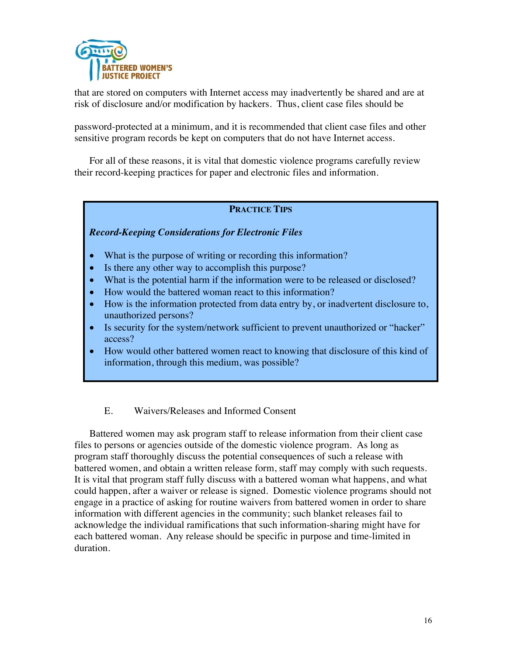

that are stored on computers with Internet access may inadvertently be shared and are at risk of disclosure and/or modification by hackers. Thus, client case files should be

password-protected at a minimum, and it is recommended that client case files and other sensitive program records be kept on computers that do not have Internet access.

For all of these reasons, it is vital that domestic violence programs carefully review their record-keeping practices for paper and electronic files and information.

## **PRACTICE TIPS**

*Record-Keeping Considerations for Electronic Files* 

- What is the purpose of writing or recording this information?
- Is there any other way to accomplish this purpose?
- What is the potential harm if the information were to be released or disclosed?
- How would the battered woman react to this information?
- How is the information protected from data entry by, or inadvertent disclosure to, unauthorized persons?
- Is security for the system/network sufficient to prevent unauthorized or "hacker" access?
- How would other battered women react to knowing that disclosure of this kind of information, through this medium, was possible?

## E. Waivers/Releases and Informed Consent

Battered women may ask program staff to release information from their client case files to persons or agencies outside of the domestic violence program. As long as program staff thoroughly discuss the potential consequences of such a release with battered women, and obtain a written release form, staff may comply with such requests. It is vital that program staff fully discuss with a battered woman what happens, and what could happen, after a waiver or release is signed. Domestic violence programs should not engage in a practice of asking for routine waivers from battered women in order to share information with different agencies in the community; such blanket releases fail to acknowledge the individual ramifications that such information-sharing might have for each battered woman. Any release should be specific in purpose and time-limited in duration.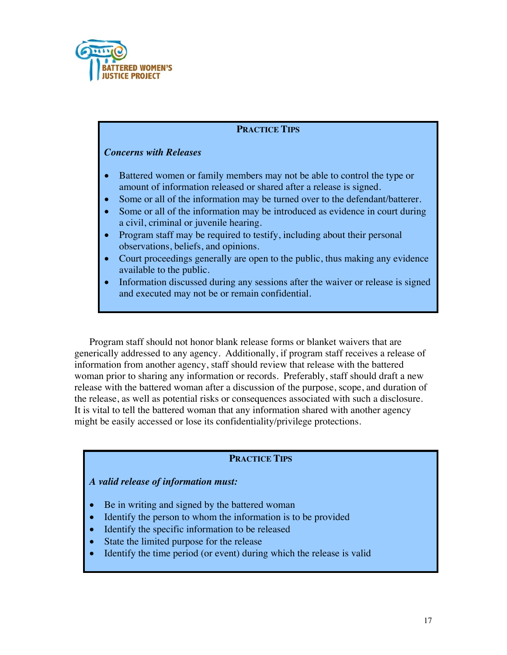

## **PRACTICE TIPS**

## *Concerns with Releases*

- Battered women or family members may not be able to control the type or amount of information released or shared after a release is signed.
- Some or all of the information may be turned over to the defendant/batterer.
- Some or all of the information may be introduced as evidence in court during a civil, criminal or juvenile hearing.
- Program staff may be required to testify, including about their personal observations, beliefs, and opinions.
- Court proceedings generally are open to the public, thus making any evidence available to the public.
- Information discussed during any sessions after the waiver or release is signed and executed may not be or remain confidential.

Program staff should not honor blank release forms or blanket waivers that are generically addressed to any agency. Additionally, if program staff receives a release of information from another agency, staff should review that release with the battered woman prior to sharing any information or records. Preferably, staff should draft a new release with the battered woman after a discussion of the purpose, scope, and duration of the release, as well as potential risks or consequences associated with such a disclosure. It is vital to tell the battered woman that any information shared with another agency might be easily accessed or lose its confidentiality/privilege protections.

## **PRACTICE TIPS**

#### *A valid release of information must:*

- Be in writing and signed by the battered woman
- Identify the person to whom the information is to be provided
- Identify the specific information to be released
- State the limited purpose for the release
- Identify the time period (or event) during which the release is valid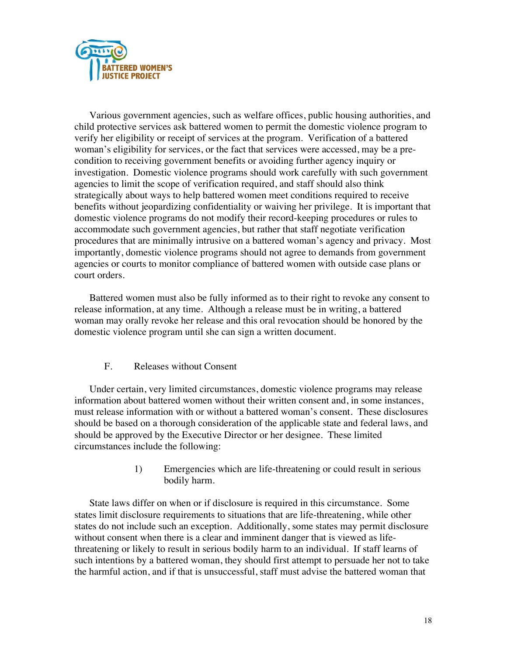

Various government agencies, such as welfare offices, public housing authorities, and child protective services ask battered women to permit the domestic violence program to verify her eligibility or receipt of services at the program. Verification of a battered woman's eligibility for services, or the fact that services were accessed, may be a precondition to receiving government benefits or avoiding further agency inquiry or investigation. Domestic violence programs should work carefully with such government agencies to limit the scope of verification required, and staff should also think strategically about ways to help battered women meet conditions required to receive benefits without jeopardizing confidentiality or waiving her privilege. It is important that domestic violence programs do not modify their record-keeping procedures or rules to accommodate such government agencies, but rather that staff negotiate verification procedures that are minimally intrusive on a battered woman's agency and privacy. Most importantly, domestic violence programs should not agree to demands from government agencies or courts to monitor compliance of battered women with outside case plans or court orders.

Battered women must also be fully informed as to their right to revoke any consent to release information, at any time. Although a release must be in writing, a battered woman may orally revoke her release and this oral revocation should be honored by the domestic violence program until she can sign a written document.

## F. Releases without Consent

Under certain, very limited circumstances, domestic violence programs may release information about battered women without their written consent and, in some instances, must release information with or without a battered woman's consent. These disclosures should be based on a thorough consideration of the applicable state and federal laws, and should be approved by the Executive Director or her designee. These limited circumstances include the following:

> 1) Emergencies which are life-threatening or could result in serious bodily harm.

State laws differ on when or if disclosure is required in this circumstance. Some states limit disclosure requirements to situations that are life-threatening, while other states do not include such an exception. Additionally, some states may permit disclosure without consent when there is a clear and imminent danger that is viewed as lifethreatening or likely to result in serious bodily harm to an individual. If staff learns of such intentions by a battered woman, they should first attempt to persuade her not to take the harmful action, and if that is unsuccessful, staff must advise the battered woman that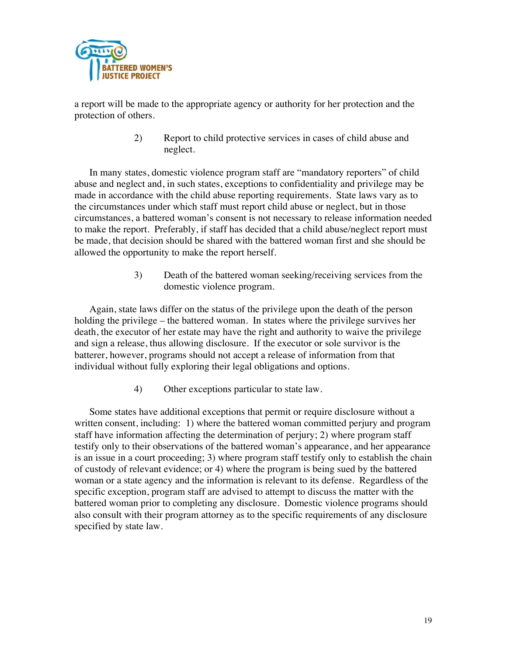

a report will be made to the appropriate agency or authority for her protection and the protection of others.

> 2) Report to child protective services in cases of child abuse and neglect.

In many states, domestic violence program staff are "mandatory reporters" of child abuse and neglect and, in such states, exceptions to confidentiality and privilege may be made in accordance with the child abuse reporting requirements. State laws vary as to the circumstances under which staff must report child abuse or neglect, but in those circumstances, a battered woman's consent is not necessary to release information needed to make the report. Preferably, if staff has decided that a child abuse/neglect report must be made, that decision should be shared with the battered woman first and she should be allowed the opportunity to make the report herself.

> 3) Death of the battered woman seeking/receiving services from the domestic violence program.

Again, state laws differ on the status of the privilege upon the death of the person holding the privilege – the battered woman. In states where the privilege survives her death, the executor of her estate may have the right and authority to waive the privilege and sign a release, thus allowing disclosure. If the executor or sole survivor is the batterer, however, programs should not accept a release of information from that individual without fully exploring their legal obligations and options.

4) Other exceptions particular to state law.

Some states have additional exceptions that permit or require disclosure without a written consent, including: 1) where the battered woman committed perjury and program staff have information affecting the determination of perjury; 2) where program staff testify only to their observations of the battered woman's appearance, and her appearance is an issue in a court proceeding; 3) where program staff testify only to establish the chain of custody of relevant evidence; or 4) where the program is being sued by the battered woman or a state agency and the information is relevant to its defense. Regardless of the specific exception, program staff are advised to attempt to discuss the matter with the battered woman prior to completing any disclosure. Domestic violence programs should also consult with their program attorney as to the specific requirements of any disclosure specified by state law.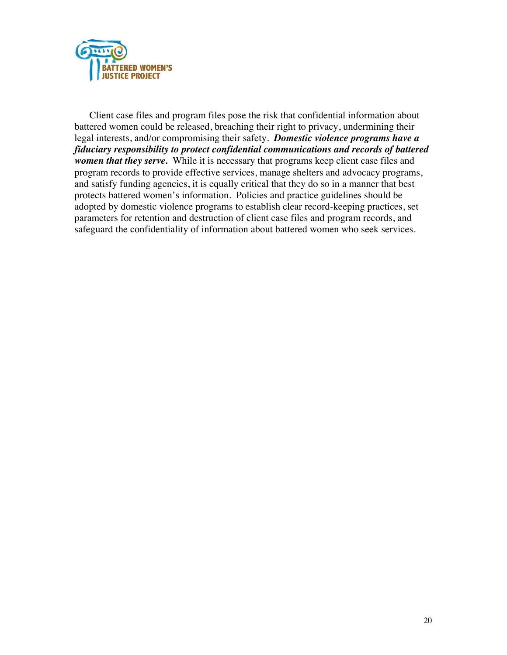

Client case files and program files pose the risk that confidential information about battered women could be released, breaching their right to privacy, undermining their legal interests, and/or compromising their safety. *Domestic violence programs have a fiduciary responsibility to protect confidential communications and records of battered women that they serve.* While it is necessary that programs keep client case files and program records to provide effective services, manage shelters and advocacy programs, and satisfy funding agencies, it is equally critical that they do so in a manner that best protects battered women's information. Policies and practice guidelines should be adopted by domestic violence programs to establish clear record-keeping practices, set parameters for retention and destruction of client case files and program records, and safeguard the confidentiality of information about battered women who seek services.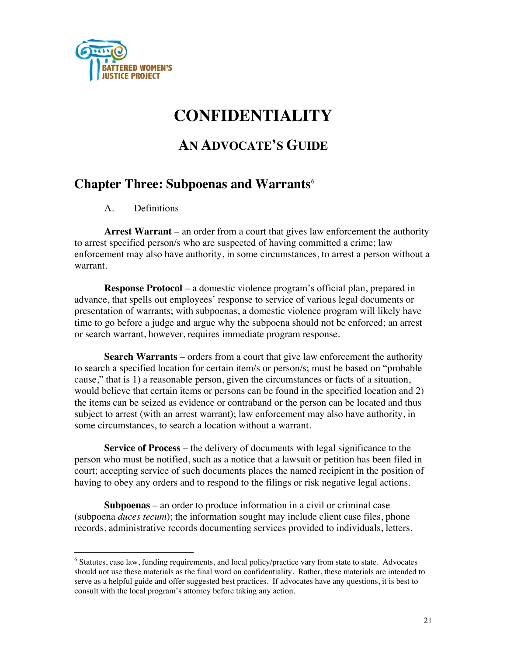

# **CONFIDENTIALITY**

# **AN ADVOCATE'S GUIDE**

## **Chapter Three: Subpoenas and Warrants**<sup>6</sup>

A. Definitions

**Arrest Warrant** – an order from a court that gives law enforcement the authority to arrest specified person/s who are suspected of having committed a crime; law enforcement may also have authority, in some circumstances, to arrest a person without a warrant.

**Response Protocol** – a domestic violence program's official plan, prepared in advance, that spells out employees' response to service of various legal documents or presentation of warrants; with subpoenas, a domestic violence program will likely have time to go before a judge and argue why the subpoena should not be enforced; an arrest or search warrant, however, requires immediate program response.

**Search Warrants** – orders from a court that give law enforcement the authority to search a specified location for certain item/s or person/s; must be based on "probable cause," that is 1) a reasonable person, given the circumstances or facts of a situation, would believe that certain items or persons can be found in the specified location and 2) the items can be seized as evidence or contraband or the person can be located and thus subject to arrest (with an arrest warrant); law enforcement may also have authority, in some circumstances, to search a location without a warrant.

**Service of Process** – the delivery of documents with legal significance to the person who must be notified, such as a notice that a lawsuit or petition has been filed in court; accepting service of such documents places the named recipient in the position of having to obey any orders and to respond to the filings or risk negative legal actions.

**Subpoenas** – an order to produce information in a civil or criminal case (subpoena *duces tecum*); the information sought may include client case files, phone records, administrative records documenting services provided to individuals, letters,

<sup>&</sup>lt;sup>6</sup> Statutes, case law, funding requirements, and local policy/practice vary from state to state. Advocates should not use these materials as the final word on confidentiality. Rather, these materials are intended to serve as a helpful guide and offer suggested best practices. If advocates have any questions, it is best to consult with the local program's attorney before taking any action.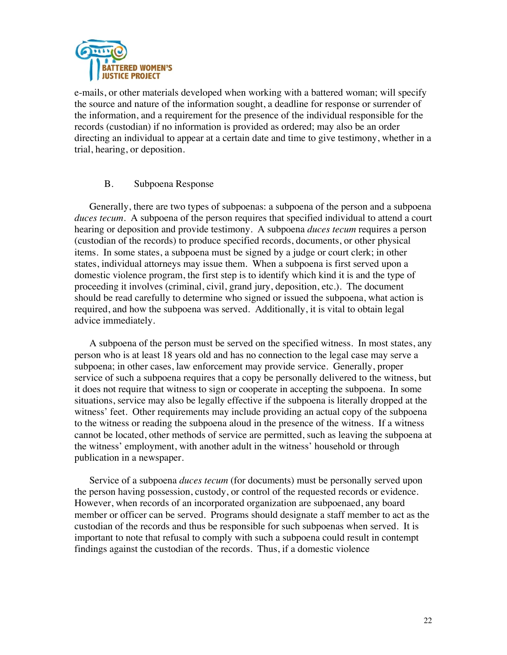

e-mails, or other materials developed when working with a battered woman; will specify the source and nature of the information sought, a deadline for response or surrender of the information, and a requirement for the presence of the individual responsible for the records (custodian) if no information is provided as ordered; may also be an order directing an individual to appear at a certain date and time to give testimony, whether in a trial, hearing, or deposition.

### B. Subpoena Response

Generally, there are two types of subpoenas: a subpoena of the person and a subpoena *duces tecum*. A subpoena of the person requires that specified individual to attend a court hearing or deposition and provide testimony. A subpoena *duces tecum* requires a person (custodian of the records) to produce specified records, documents, or other physical items. In some states, a subpoena must be signed by a judge or court clerk; in other states, individual attorneys may issue them. When a subpoena is first served upon a domestic violence program, the first step is to identify which kind it is and the type of proceeding it involves (criminal, civil, grand jury, deposition, etc.). The document should be read carefully to determine who signed or issued the subpoena, what action is required, and how the subpoena was served. Additionally, it is vital to obtain legal advice immediately.

A subpoena of the person must be served on the specified witness. In most states, any person who is at least 18 years old and has no connection to the legal case may serve a subpoena; in other cases, law enforcement may provide service. Generally, proper service of such a subpoena requires that a copy be personally delivered to the witness, but it does not require that witness to sign or cooperate in accepting the subpoena. In some situations, service may also be legally effective if the subpoena is literally dropped at the witness' feet. Other requirements may include providing an actual copy of the subpoena to the witness or reading the subpoena aloud in the presence of the witness. If a witness cannot be located, other methods of service are permitted, such as leaving the subpoena at the witness' employment, with another adult in the witness' household or through publication in a newspaper.

Service of a subpoena *duces tecum* (for documents) must be personally served upon the person having possession, custody, or control of the requested records or evidence. However, when records of an incorporated organization are subpoenaed, any board member or officer can be served. Programs should designate a staff member to act as the custodian of the records and thus be responsible for such subpoenas when served. It is important to note that refusal to comply with such a subpoena could result in contempt findings against the custodian of the records. Thus, if a domestic violence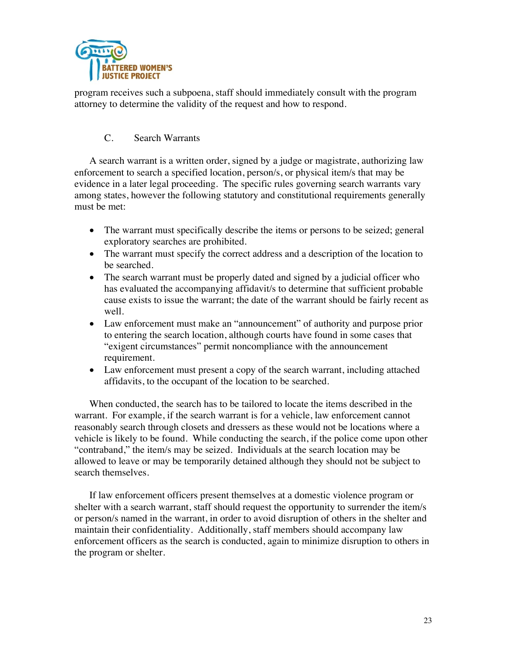

program receives such a subpoena, staff should immediately consult with the program attorney to determine the validity of the request and how to respond.

## C. Search Warrants

A search warrant is a written order, signed by a judge or magistrate, authorizing law enforcement to search a specified location, person/s, or physical item/s that may be evidence in a later legal proceeding. The specific rules governing search warrants vary among states, however the following statutory and constitutional requirements generally must be met:

- The warrant must specifically describe the items or persons to be seized; general exploratory searches are prohibited.
- The warrant must specify the correct address and a description of the location to be searched.
- The search warrant must be properly dated and signed by a judicial officer who has evaluated the accompanying affidavit/s to determine that sufficient probable cause exists to issue the warrant; the date of the warrant should be fairly recent as well.
- Law enforcement must make an "announcement" of authority and purpose prior to entering the search location, although courts have found in some cases that "exigent circumstances" permit noncompliance with the announcement requirement.
- Law enforcement must present a copy of the search warrant, including attached affidavits, to the occupant of the location to be searched.

When conducted, the search has to be tailored to locate the items described in the warrant. For example, if the search warrant is for a vehicle, law enforcement cannot reasonably search through closets and dressers as these would not be locations where a vehicle is likely to be found. While conducting the search, if the police come upon other "contraband," the item/s may be seized. Individuals at the search location may be allowed to leave or may be temporarily detained although they should not be subject to search themselves.

If law enforcement officers present themselves at a domestic violence program or shelter with a search warrant, staff should request the opportunity to surrender the item/s or person/s named in the warrant, in order to avoid disruption of others in the shelter and maintain their confidentiality. Additionally, staff members should accompany law enforcement officers as the search is conducted, again to minimize disruption to others in the program or shelter.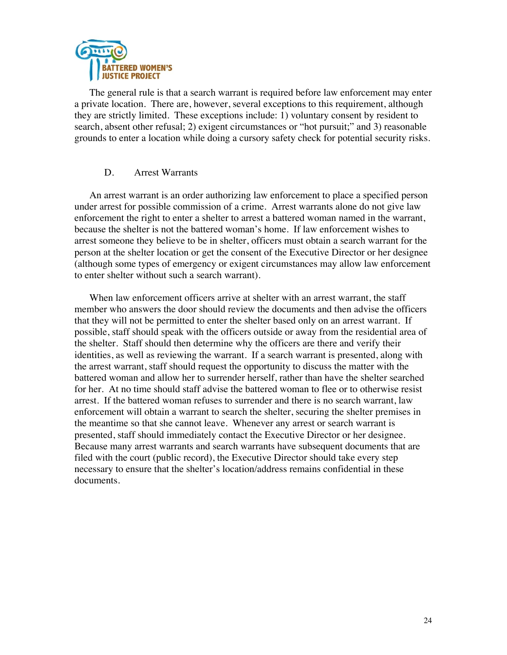

The general rule is that a search warrant is required before law enforcement may enter a private location. There are, however, several exceptions to this requirement, although they are strictly limited. These exceptions include: 1) voluntary consent by resident to search, absent other refusal; 2) exigent circumstances or "hot pursuit;" and 3) reasonable grounds to enter a location while doing a cursory safety check for potential security risks.

### D. Arrest Warrants

An arrest warrant is an order authorizing law enforcement to place a specified person under arrest for possible commission of a crime. Arrest warrants alone do not give law enforcement the right to enter a shelter to arrest a battered woman named in the warrant, because the shelter is not the battered woman's home. If law enforcement wishes to arrest someone they believe to be in shelter, officers must obtain a search warrant for the person at the shelter location or get the consent of the Executive Director or her designee (although some types of emergency or exigent circumstances may allow law enforcement to enter shelter without such a search warrant).

When law enforcement officers arrive at shelter with an arrest warrant, the staff member who answers the door should review the documents and then advise the officers that they will not be permitted to enter the shelter based only on an arrest warrant. If possible, staff should speak with the officers outside or away from the residential area of the shelter. Staff should then determine why the officers are there and verify their identities, as well as reviewing the warrant. If a search warrant is presented, along with the arrest warrant, staff should request the opportunity to discuss the matter with the battered woman and allow her to surrender herself, rather than have the shelter searched for her. At no time should staff advise the battered woman to flee or to otherwise resist arrest. If the battered woman refuses to surrender and there is no search warrant, law enforcement will obtain a warrant to search the shelter, securing the shelter premises in the meantime so that she cannot leave. Whenever any arrest or search warrant is presented, staff should immediately contact the Executive Director or her designee. Because many arrest warrants and search warrants have subsequent documents that are filed with the court (public record), the Executive Director should take every step necessary to ensure that the shelter's location/address remains confidential in these documents.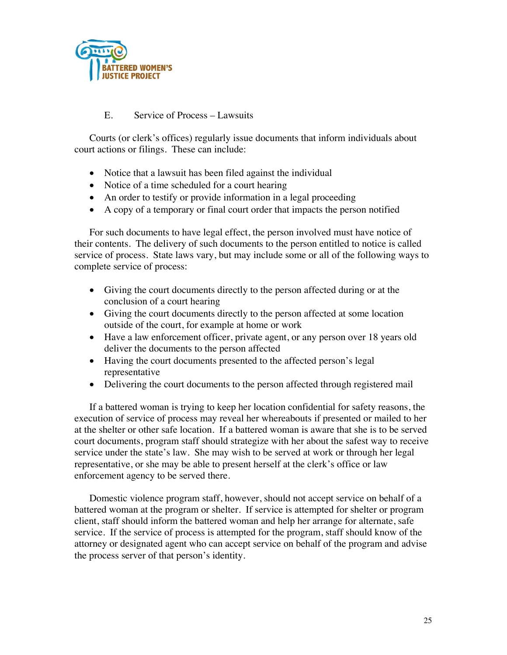

## E. Service of Process – Lawsuits

Courts (or clerk's offices) regularly issue documents that inform individuals about court actions or filings. These can include:

- Notice that a lawsuit has been filed against the individual
- Notice of a time scheduled for a court hearing
- An order to testify or provide information in a legal proceeding
- A copy of a temporary or final court order that impacts the person notified

For such documents to have legal effect, the person involved must have notice of their contents. The delivery of such documents to the person entitled to notice is called service of process. State laws vary, but may include some or all of the following ways to complete service of process:

- Giving the court documents directly to the person affected during or at the conclusion of a court hearing
- Giving the court documents directly to the person affected at some location outside of the court, for example at home or work
- Have a law enforcement officer, private agent, or any person over 18 years old deliver the documents to the person affected
- Having the court documents presented to the affected person's legal representative
- Delivering the court documents to the person affected through registered mail

If a battered woman is trying to keep her location confidential for safety reasons, the execution of service of process may reveal her whereabouts if presented or mailed to her at the shelter or other safe location. If a battered woman is aware that she is to be served court documents, program staff should strategize with her about the safest way to receive service under the state's law. She may wish to be served at work or through her legal representative, or she may be able to present herself at the clerk's office or law enforcement agency to be served there.

Domestic violence program staff, however, should not accept service on behalf of a battered woman at the program or shelter. If service is attempted for shelter or program client, staff should inform the battered woman and help her arrange for alternate, safe service. If the service of process is attempted for the program, staff should know of the attorney or designated agent who can accept service on behalf of the program and advise the process server of that person's identity.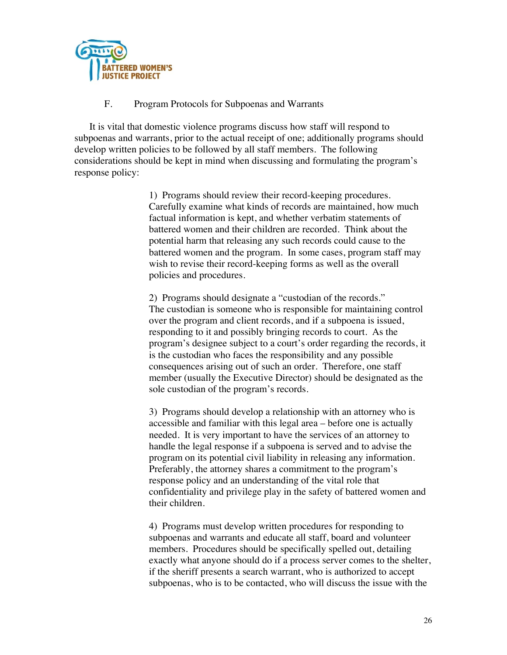

### F. Program Protocols for Subpoenas and Warrants

It is vital that domestic violence programs discuss how staff will respond to subpoenas and warrants, prior to the actual receipt of one; additionally programs should develop written policies to be followed by all staff members. The following considerations should be kept in mind when discussing and formulating the program's response policy:

> 1) Programs should review their record-keeping procedures. Carefully examine what kinds of records are maintained, how much factual information is kept, and whether verbatim statements of battered women and their children are recorded. Think about the potential harm that releasing any such records could cause to the battered women and the program. In some cases, program staff may wish to revise their record-keeping forms as well as the overall policies and procedures.

2) Programs should designate a "custodian of the records." The custodian is someone who is responsible for maintaining control over the program and client records, and if a subpoena is issued, responding to it and possibly bringing records to court. As the program's designee subject to a court's order regarding the records, it is the custodian who faces the responsibility and any possible consequences arising out of such an order. Therefore, one staff member (usually the Executive Director) should be designated as the sole custodian of the program's records.

3) Programs should develop a relationship with an attorney who is accessible and familiar with this legal area – before one is actually needed. It is very important to have the services of an attorney to handle the legal response if a subpoena is served and to advise the program on its potential civil liability in releasing any information. Preferably, the attorney shares a commitment to the program's response policy and an understanding of the vital role that confidentiality and privilege play in the safety of battered women and their children.

4) Programs must develop written procedures for responding to subpoenas and warrants and educate all staff, board and volunteer members. Procedures should be specifically spelled out, detailing exactly what anyone should do if a process server comes to the shelter, if the sheriff presents a search warrant, who is authorized to accept subpoenas, who is to be contacted, who will discuss the issue with the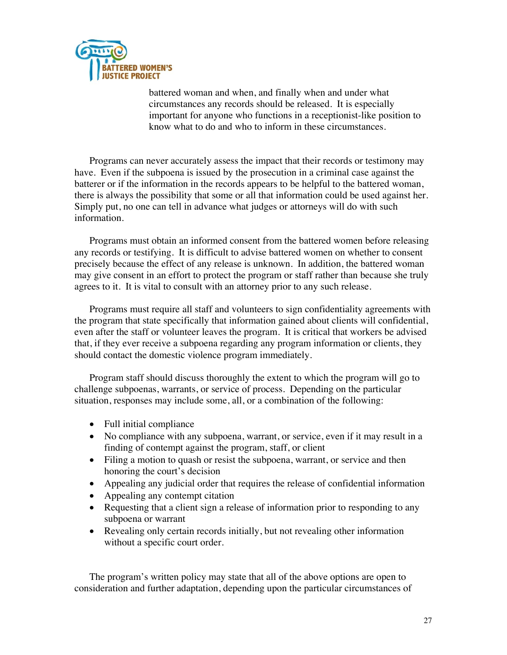

battered woman and when, and finally when and under what circumstances any records should be released. It is especially important for anyone who functions in a receptionist-like position to know what to do and who to inform in these circumstances.

Programs can never accurately assess the impact that their records or testimony may have. Even if the subpoena is issued by the prosecution in a criminal case against the batterer or if the information in the records appears to be helpful to the battered woman, there is always the possibility that some or all that information could be used against her. Simply put, no one can tell in advance what judges or attorneys will do with such information.

Programs must obtain an informed consent from the battered women before releasing any records or testifying. It is difficult to advise battered women on whether to consent precisely because the effect of any release is unknown. In addition, the battered woman may give consent in an effort to protect the program or staff rather than because she truly agrees to it. It is vital to consult with an attorney prior to any such release.

Programs must require all staff and volunteers to sign confidentiality agreements with the program that state specifically that information gained about clients will confidential, even after the staff or volunteer leaves the program. It is critical that workers be advised that, if they ever receive a subpoena regarding any program information or clients, they should contact the domestic violence program immediately.

Program staff should discuss thoroughly the extent to which the program will go to challenge subpoenas, warrants, or service of process. Depending on the particular situation, responses may include some, all, or a combination of the following:

- Full initial compliance
- No compliance with any subpoena, warrant, or service, even if it may result in a finding of contempt against the program, staff, or client
- Filing a motion to quash or resist the subpoena, warrant, or service and then honoring the court's decision
- Appealing any judicial order that requires the release of confidential information
- Appealing any contempt citation
- Requesting that a client sign a release of information prior to responding to any subpoena or warrant
- Revealing only certain records initially, but not revealing other information without a specific court order.

The program's written policy may state that all of the above options are open to consideration and further adaptation, depending upon the particular circumstances of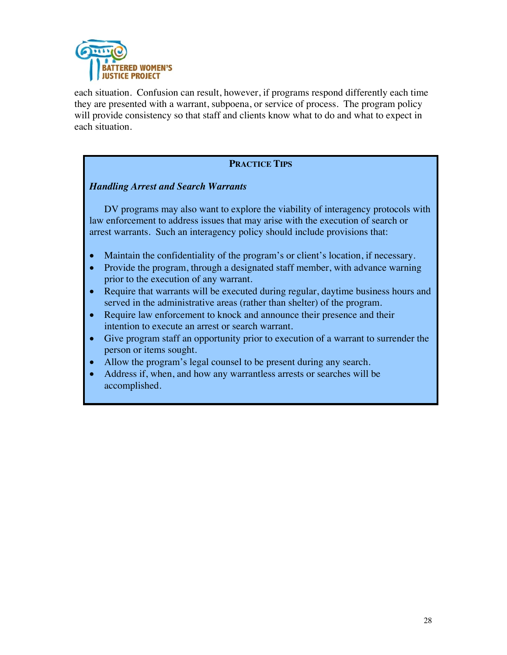

each situation. Confusion can result, however, if programs respond differently each time they are presented with a warrant, subpoena, or service of process. The program policy will provide consistency so that staff and clients know what to do and what to expect in each situation.

## **PRACTICE TIPS**

## *Handling Arrest and Search Warrants*

DV programs may also want to explore the viability of interagency protocols with law enforcement to address issues that may arise with the execution of search or arrest warrants. Such an interagency policy should include provisions that:

- Maintain the confidentiality of the program's or client's location, if necessary.
- Provide the program, through a designated staff member, with advance warning prior to the execution of any warrant.
- Require that warrants will be executed during regular, daytime business hours and served in the administrative areas (rather than shelter) of the program.
- Require law enforcement to knock and announce their presence and their intention to execute an arrest or search warrant.
- Give program staff an opportunity prior to execution of a warrant to surrender the person or items sought.
- Allow the program's legal counsel to be present during any search.
- Address if, when, and how any warrantless arrests or searches will be accomplished.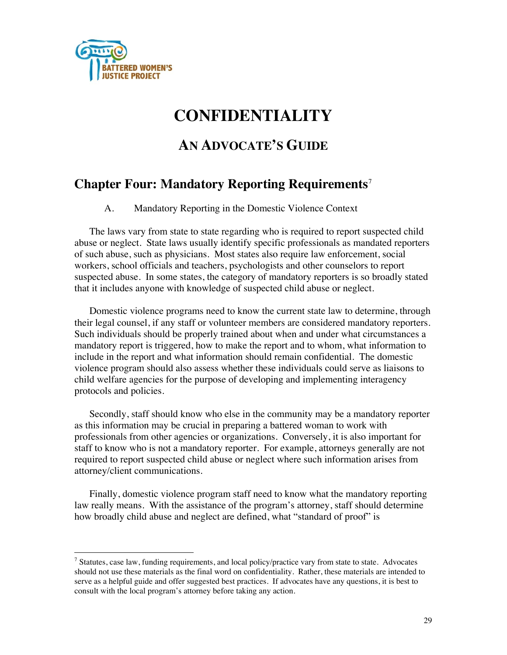

# **CONFIDENTIALITY**

# **AN ADVOCATE'S GUIDE**

# **Chapter Four: Mandatory Reporting Requirements**<sup>7</sup>

A. Mandatory Reporting in the Domestic Violence Context

The laws vary from state to state regarding who is required to report suspected child abuse or neglect. State laws usually identify specific professionals as mandated reporters of such abuse, such as physicians. Most states also require law enforcement, social workers, school officials and teachers, psychologists and other counselors to report suspected abuse. In some states, the category of mandatory reporters is so broadly stated that it includes anyone with knowledge of suspected child abuse or neglect.

Domestic violence programs need to know the current state law to determine, through their legal counsel, if any staff or volunteer members are considered mandatory reporters. Such individuals should be properly trained about when and under what circumstances a mandatory report is triggered, how to make the report and to whom, what information to include in the report and what information should remain confidential. The domestic violence program should also assess whether these individuals could serve as liaisons to child welfare agencies for the purpose of developing and implementing interagency protocols and policies.

Secondly, staff should know who else in the community may be a mandatory reporter as this information may be crucial in preparing a battered woman to work with professionals from other agencies or organizations. Conversely, it is also important for staff to know who is not a mandatory reporter. For example, attorneys generally are not required to report suspected child abuse or neglect where such information arises from attorney/client communications.

Finally, domestic violence program staff need to know what the mandatory reporting law really means. With the assistance of the program's attorney, staff should determine how broadly child abuse and neglect are defined, what "standard of proof" is

<sup>&</sup>lt;sup>7</sup> Statutes, case law, funding requirements, and local policy/practice vary from state to state. Advocates should not use these materials as the final word on confidentiality. Rather, these materials are intended to serve as a helpful guide and offer suggested best practices. If advocates have any questions, it is best to consult with the local program's attorney before taking any action.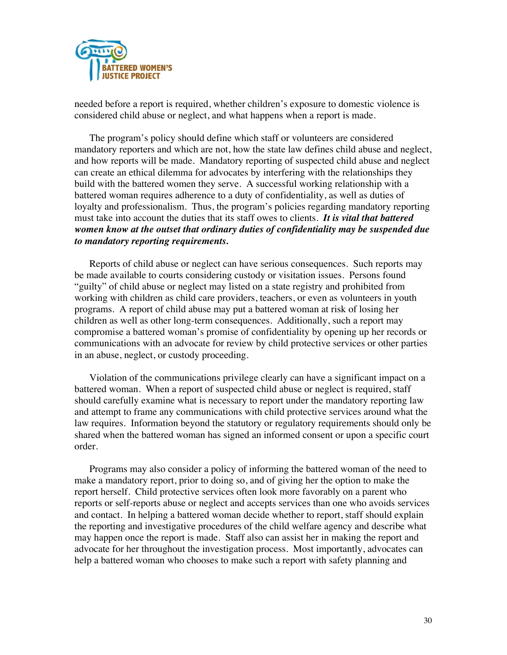

needed before a report is required, whether children's exposure to domestic violence is considered child abuse or neglect, and what happens when a report is made.

The program's policy should define which staff or volunteers are considered mandatory reporters and which are not, how the state law defines child abuse and neglect, and how reports will be made. Mandatory reporting of suspected child abuse and neglect can create an ethical dilemma for advocates by interfering with the relationships they build with the battered women they serve. A successful working relationship with a battered woman requires adherence to a duty of confidentiality, as well as duties of loyalty and professionalism. Thus, the program's policies regarding mandatory reporting must take into account the duties that its staff owes to clients. *It is vital that battered women know at the outset that ordinary duties of confidentiality may be suspended due to mandatory reporting requirements.*

Reports of child abuse or neglect can have serious consequences. Such reports may be made available to courts considering custody or visitation issues. Persons found "guilty" of child abuse or neglect may listed on a state registry and prohibited from working with children as child care providers, teachers, or even as volunteers in youth programs. A report of child abuse may put a battered woman at risk of losing her children as well as other long-term consequences. Additionally, such a report may compromise a battered woman's promise of confidentiality by opening up her records or communications with an advocate for review by child protective services or other parties in an abuse, neglect, or custody proceeding.

Violation of the communications privilege clearly can have a significant impact on a battered woman. When a report of suspected child abuse or neglect is required, staff should carefully examine what is necessary to report under the mandatory reporting law and attempt to frame any communications with child protective services around what the law requires. Information beyond the statutory or regulatory requirements should only be shared when the battered woman has signed an informed consent or upon a specific court order.

Programs may also consider a policy of informing the battered woman of the need to make a mandatory report, prior to doing so, and of giving her the option to make the report herself. Child protective services often look more favorably on a parent who reports or self-reports abuse or neglect and accepts services than one who avoids services and contact. In helping a battered woman decide whether to report, staff should explain the reporting and investigative procedures of the child welfare agency and describe what may happen once the report is made. Staff also can assist her in making the report and advocate for her throughout the investigation process. Most importantly, advocates can help a battered woman who chooses to make such a report with safety planning and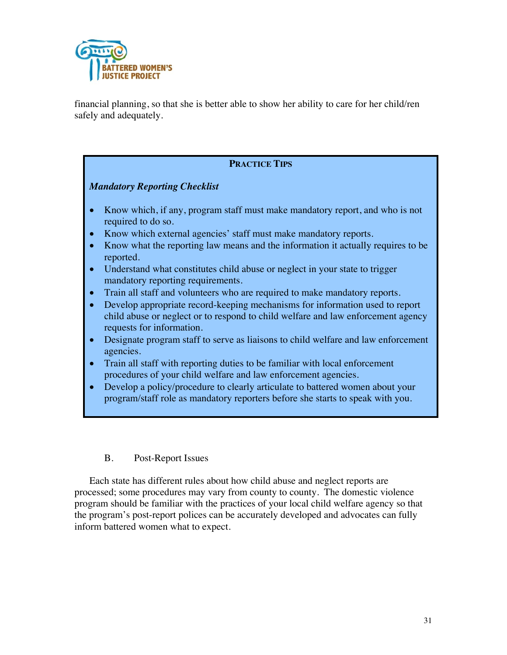

financial planning, so that she is better able to show her ability to care for her child/ren safely and adequately.

## **PRACTICE TIPS**

## *Mandatory Reporting Checklist*

- Know which, if any, program staff must make mandatory report, and who is not required to do so.
- Know which external agencies' staff must make mandatory reports.
- Know what the reporting law means and the information it actually requires to be reported.
- Understand what constitutes child abuse or neglect in your state to trigger mandatory reporting requirements.
- Train all staff and volunteers who are required to make mandatory reports.
- Develop appropriate record-keeping mechanisms for information used to report child abuse or neglect or to respond to child welfare and law enforcement agency requests for information.
- Designate program staff to serve as liaisons to child welfare and law enforcement agencies.
- Train all staff with reporting duties to be familiar with local enforcement procedures of your child welfare and law enforcement agencies.
- Develop a policy/procedure to clearly articulate to battered women about your program/staff role as mandatory reporters before she starts to speak with you.

## B. Post-Report Issues

Each state has different rules about how child abuse and neglect reports are processed; some procedures may vary from county to county. The domestic violence program should be familiar with the practices of your local child welfare agency so that the program's post-report polices can be accurately developed and advocates can fully inform battered women what to expect.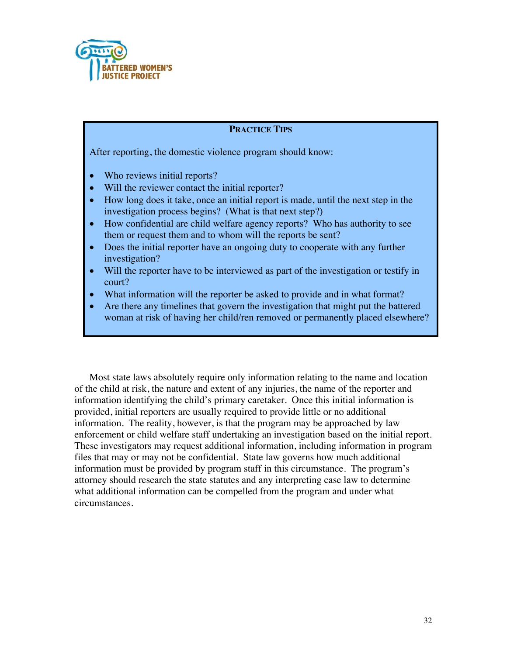

## **PRACTICE TIPS**

After reporting, the domestic violence program should know:

- Who reviews initial reports?
- Will the reviewer contact the initial reporter?
- How long does it take, once an initial report is made, until the next step in the investigation process begins? (What is that next step?)
- How confidential are child welfare agency reports? Who has authority to see them or request them and to whom will the reports be sent?
- Does the initial reporter have an ongoing duty to cooperate with any further investigation?
- Will the reporter have to be interviewed as part of the investigation or testify in court?
- What information will the reporter be asked to provide and in what format?
- Are there any timelines that govern the investigation that might put the battered woman at risk of having her child/ren removed or permanently placed elsewhere?

Most state laws absolutely require only information relating to the name and location of the child at risk, the nature and extent of any injuries, the name of the reporter and information identifying the child's primary caretaker. Once this initial information is provided, initial reporters are usually required to provide little or no additional information. The reality, however, is that the program may be approached by law enforcement or child welfare staff undertaking an investigation based on the initial report. These investigators may request additional information, including information in program files that may or may not be confidential. State law governs how much additional information must be provided by program staff in this circumstance. The program's attorney should research the state statutes and any interpreting case law to determine what additional information can be compelled from the program and under what circumstances.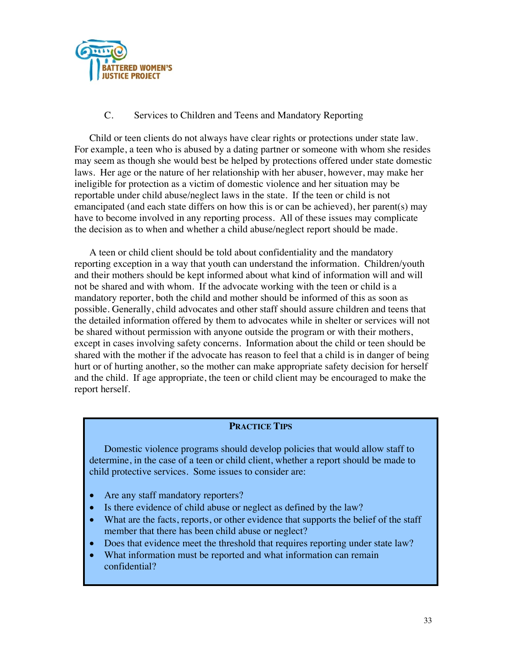

## C. Services to Children and Teens and Mandatory Reporting

Child or teen clients do not always have clear rights or protections under state law. For example, a teen who is abused by a dating partner or someone with whom she resides may seem as though she would best be helped by protections offered under state domestic laws. Her age or the nature of her relationship with her abuser, however, may make her ineligible for protection as a victim of domestic violence and her situation may be reportable under child abuse/neglect laws in the state. If the teen or child is not emancipated (and each state differs on how this is or can be achieved), her parent(s) may have to become involved in any reporting process. All of these issues may complicate the decision as to when and whether a child abuse/neglect report should be made.

A teen or child client should be told about confidentiality and the mandatory reporting exception in a way that youth can understand the information. Children/youth and their mothers should be kept informed about what kind of information will and will not be shared and with whom. If the advocate working with the teen or child is a mandatory reporter, both the child and mother should be informed of this as soon as possible. Generally, child advocates and other staff should assure children and teens that the detailed information offered by them to advocates while in shelter or services will not be shared without permission with anyone outside the program or with their mothers, except in cases involving safety concerns. Information about the child or teen should be shared with the mother if the advocate has reason to feel that a child is in danger of being hurt or of hurting another, so the mother can make appropriate safety decision for herself and the child. If age appropriate, the teen or child client may be encouraged to make the report herself.

## **PRACTICE TIPS**

Domestic violence programs should develop policies that would allow staff to determine, in the case of a teen or child client, whether a report should be made to child protective services. Some issues to consider are:

- Are any staff mandatory reporters?
- Is there evidence of child abuse or neglect as defined by the law?
- What are the facts, reports, or other evidence that supports the belief of the staff member that there has been child abuse or neglect?
- Does that evidence meet the threshold that requires reporting under state law?
- What information must be reported and what information can remain confidential?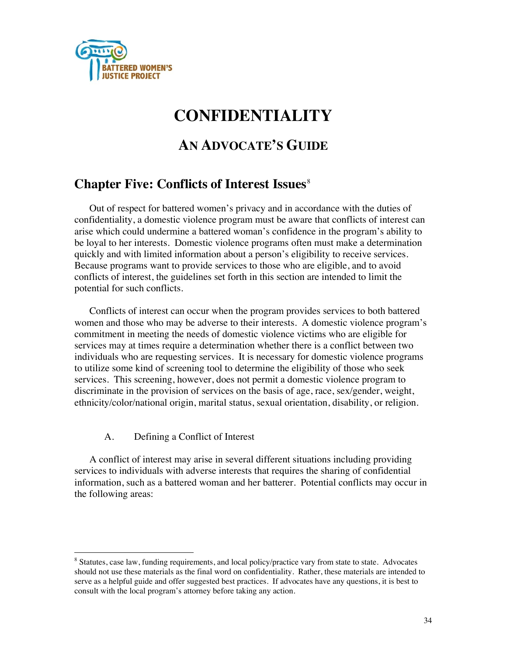

# **CONFIDENTIALITY**

# **AN ADVOCATE'S GUIDE**

## **Chapter Five: Conflicts of Interest Issues**<sup>8</sup>

Out of respect for battered women's privacy and in accordance with the duties of confidentiality, a domestic violence program must be aware that conflicts of interest can arise which could undermine a battered woman's confidence in the program's ability to be loyal to her interests. Domestic violence programs often must make a determination quickly and with limited information about a person's eligibility to receive services. Because programs want to provide services to those who are eligible, and to avoid conflicts of interest, the guidelines set forth in this section are intended to limit the potential for such conflicts.

Conflicts of interest can occur when the program provides services to both battered women and those who may be adverse to their interests. A domestic violence program's commitment in meeting the needs of domestic violence victims who are eligible for services may at times require a determination whether there is a conflict between two individuals who are requesting services. It is necessary for domestic violence programs to utilize some kind of screening tool to determine the eligibility of those who seek services. This screening, however, does not permit a domestic violence program to discriminate in the provision of services on the basis of age, race, sex/gender, weight, ethnicity/color/national origin, marital status, sexual orientation, disability, or religion.

## A. Defining a Conflict of Interest

A conflict of interest may arise in several different situations including providing services to individuals with adverse interests that requires the sharing of confidential information, such as a battered woman and her batterer. Potential conflicts may occur in the following areas:

<sup>&</sup>lt;sup>8</sup> Statutes, case law, funding requirements, and local policy/practice vary from state to state. Advocates should not use these materials as the final word on confidentiality. Rather, these materials are intended to serve as a helpful guide and offer suggested best practices. If advocates have any questions, it is best to consult with the local program's attorney before taking any action.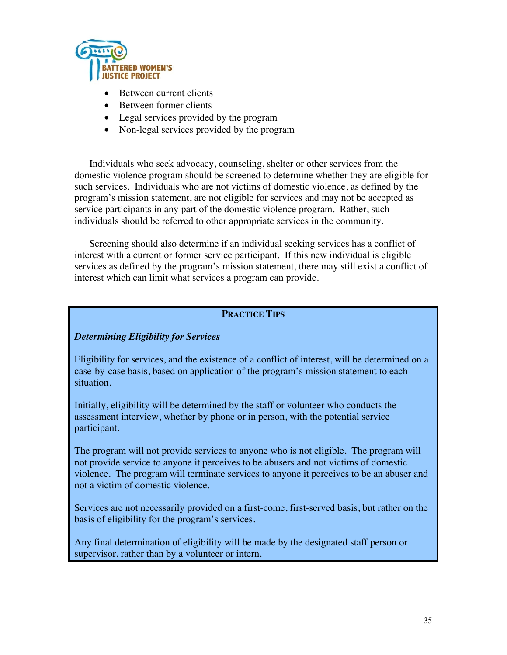

- Between current clients
- Between former clients
- Legal services provided by the program
- Non-legal services provided by the program

Individuals who seek advocacy, counseling, shelter or other services from the domestic violence program should be screened to determine whether they are eligible for such services. Individuals who are not victims of domestic violence, as defined by the program's mission statement, are not eligible for services and may not be accepted as service participants in any part of the domestic violence program. Rather, such individuals should be referred to other appropriate services in the community.

Screening should also determine if an individual seeking services has a conflict of interest with a current or former service participant. If this new individual is eligible services as defined by the program's mission statement, there may still exist a conflict of interest which can limit what services a program can provide.

## **PRACTICE TIPS**

## *Determining Eligibility for Services*

Eligibility for services, and the existence of a conflict of interest, will be determined on a case-by-case basis, based on application of the program's mission statement to each situation.

Initially, eligibility will be determined by the staff or volunteer who conducts the assessment interview, whether by phone or in person, with the potential service participant.

The program will not provide services to anyone who is not eligible. The program will not provide service to anyone it perceives to be abusers and not victims of domestic violence. The program will terminate services to anyone it perceives to be an abuser and not a victim of domestic violence.

Services are not necessarily provided on a first-come, first-served basis, but rather on the basis of eligibility for the program's services.

Any final determination of eligibility will be made by the designated staff person or supervisor, rather than by a volunteer or intern.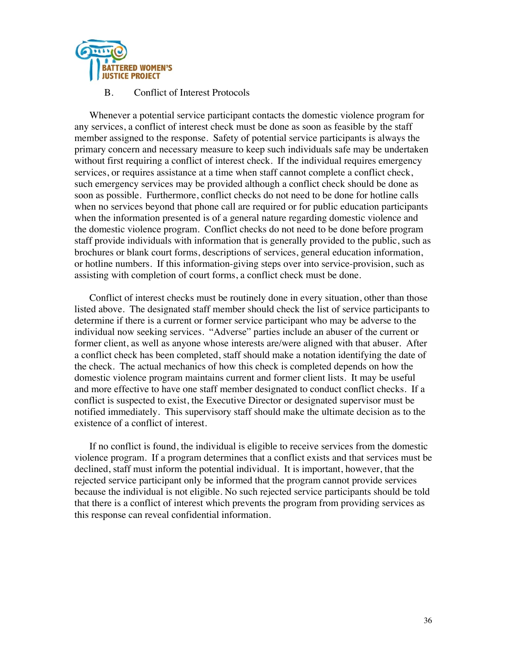

#### B. Conflict of Interest Protocols

Whenever a potential service participant contacts the domestic violence program for any services, a conflict of interest check must be done as soon as feasible by the staff member assigned to the response. Safety of potential service participants is always the primary concern and necessary measure to keep such individuals safe may be undertaken without first requiring a conflict of interest check. If the individual requires emergency services, or requires assistance at a time when staff cannot complete a conflict check, such emergency services may be provided although a conflict check should be done as soon as possible. Furthermore, conflict checks do not need to be done for hotline calls when no services beyond that phone call are required or for public education participants when the information presented is of a general nature regarding domestic violence and the domestic violence program. Conflict checks do not need to be done before program staff provide individuals with information that is generally provided to the public, such as brochures or blank court forms, descriptions of services, general education information, or hotline numbers. If this information-giving steps over into service-provision, such as assisting with completion of court forms, a conflict check must be done.

Conflict of interest checks must be routinely done in every situation, other than those listed above. The designated staff member should check the list of service participants to determine if there is a current or former service participant who may be adverse to the individual now seeking services. "Adverse" parties include an abuser of the current or former client, as well as anyone whose interests are/were aligned with that abuser. After a conflict check has been completed, staff should make a notation identifying the date of the check. The actual mechanics of how this check is completed depends on how the domestic violence program maintains current and former client lists. It may be useful and more effective to have one staff member designated to conduct conflict checks. If a conflict is suspected to exist, the Executive Director or designated supervisor must be notified immediately. This supervisory staff should make the ultimate decision as to the existence of a conflict of interest.

If no conflict is found, the individual is eligible to receive services from the domestic violence program. If a program determines that a conflict exists and that services must be declined, staff must inform the potential individual. It is important, however, that the rejected service participant only be informed that the program cannot provide services because the individual is not eligible. No such rejected service participants should be told that there is a conflict of interest which prevents the program from providing services as this response can reveal confidential information.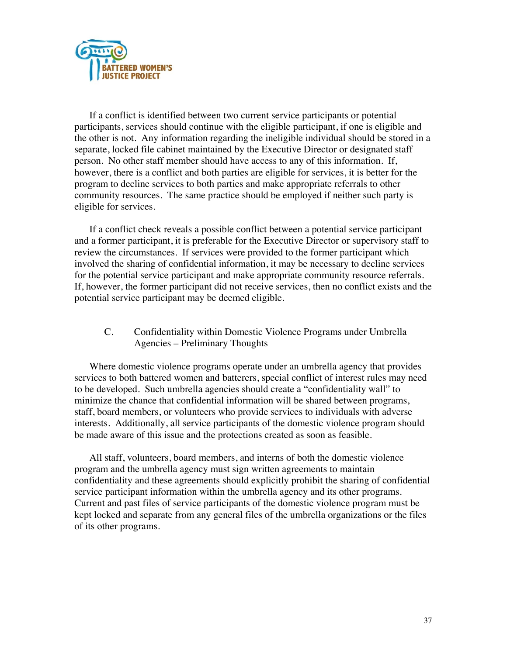

If a conflict is identified between two current service participants or potential participants, services should continue with the eligible participant, if one is eligible and the other is not. Any information regarding the ineligible individual should be stored in a separate, locked file cabinet maintained by the Executive Director or designated staff person. No other staff member should have access to any of this information. If, however, there is a conflict and both parties are eligible for services, it is better for the program to decline services to both parties and make appropriate referrals to other community resources. The same practice should be employed if neither such party is eligible for services.

If a conflict check reveals a possible conflict between a potential service participant and a former participant, it is preferable for the Executive Director or supervisory staff to review the circumstances. If services were provided to the former participant which involved the sharing of confidential information, it may be necessary to decline services for the potential service participant and make appropriate community resource referrals. If, however, the former participant did not receive services, then no conflict exists and the potential service participant may be deemed eligible.

C. Confidentiality within Domestic Violence Programs under Umbrella Agencies – Preliminary Thoughts

Where domestic violence programs operate under an umbrella agency that provides services to both battered women and batterers, special conflict of interest rules may need to be developed. Such umbrella agencies should create a "confidentiality wall" to minimize the chance that confidential information will be shared between programs, staff, board members, or volunteers who provide services to individuals with adverse interests. Additionally, all service participants of the domestic violence program should be made aware of this issue and the protections created as soon as feasible.

All staff, volunteers, board members, and interns of both the domestic violence program and the umbrella agency must sign written agreements to maintain confidentiality and these agreements should explicitly prohibit the sharing of confidential service participant information within the umbrella agency and its other programs. Current and past files of service participants of the domestic violence program must be kept locked and separate from any general files of the umbrella organizations or the files of its other programs.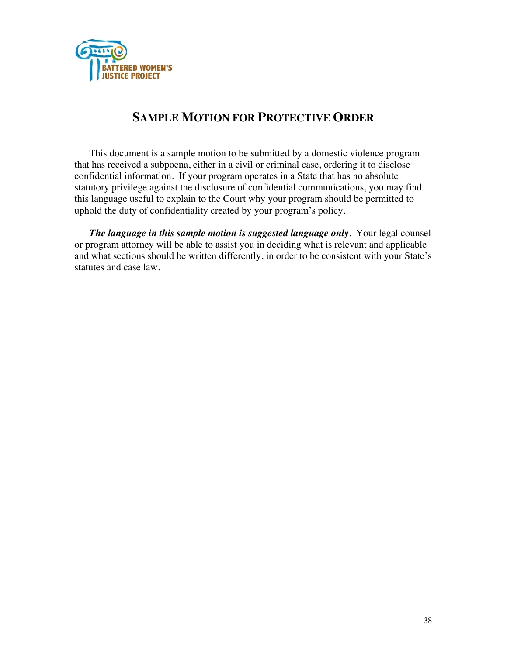

## **SAMPLE MOTION FOR PROTECTIVE ORDER**

This document is a sample motion to be submitted by a domestic violence program that has received a subpoena, either in a civil or criminal case, ordering it to disclose confidential information. If your program operates in a State that has no absolute statutory privilege against the disclosure of confidential communications, you may find this language useful to explain to the Court why your program should be permitted to uphold the duty of confidentiality created by your program's policy.

*The language in this sample motion is suggested language only*. Your legal counsel or program attorney will be able to assist you in deciding what is relevant and applicable and what sections should be written differently, in order to be consistent with your State's statutes and case law.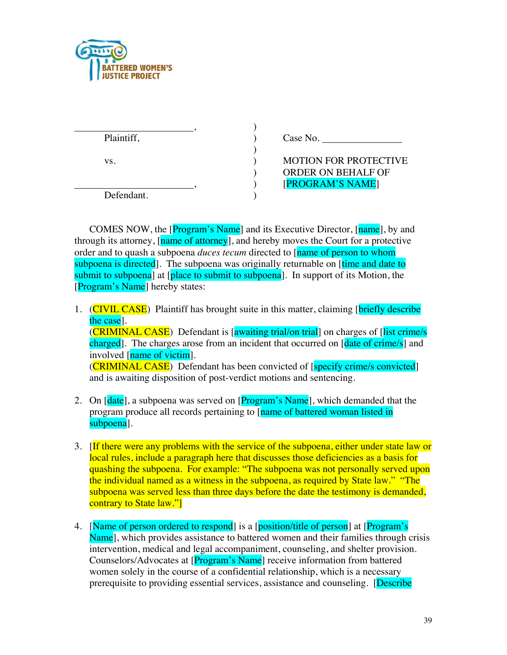

| Plaintiff, | Case No.                     |
|------------|------------------------------|
| VS.        | <b>MOTION FOR PROTECTIVE</b> |
|            | <b>ORDER ON BEHALF OF</b>    |
|            | [PROGRAM'S NAME]             |
| Defendant. |                              |

COMES NOW, the [Program's Name] and its Executive Director, [name], by and through its attorney, [name of attorney], and hereby moves the Court for a protective order and to quash a subpoena *duces tecum* directed to [name of person to whom subpoena is directed]. The subpoena was originally returnable on *ftime and date to* submit to subpoena] at [place to submit to subpoena]. In support of its Motion, the [Program's Name] hereby states:

- 1. (CIVIL CASE) Plaintiff has brought suite in this matter, claiming [briefly describe] the case]. (CRIMINAL CASE) Defendant is [awaiting trial/on trial] on charges of [list crime/s charged]. The charges arose from an incident that occurred on [date of crime/s] and involved [name of victim]. (**CRIMINAL CASE**) Defendant has been convicted of [specify crime/s convicted] and is awaiting disposition of post-verdict motions and sentencing.
- 2. On [date], a subpoena was served on [Program's Name], which demanded that the program produce all records pertaining to [name of battered woman listed in subpoena].
- 3. If there were any problems with the service of the subpoena, either under state law or local rules, include a paragraph here that discusses those deficiencies as a basis for quashing the subpoena. For example: "The subpoena was not personally served upon the individual named as a witness in the subpoena, as required by State law." "The subpoena was served less than three days before the date the testimony is demanded, contrary to State law."
- 4. [Name of person ordered to respond] is a [position/title of person] at [Program's Name], which provides assistance to battered women and their families through crisis intervention, medical and legal accompaniment, counseling, and shelter provision. Counselors/Advocates at [Program's Name] receive information from battered women solely in the course of a confidential relationship, which is a necessary prerequisite to providing essential services, assistance and counseling. [Describe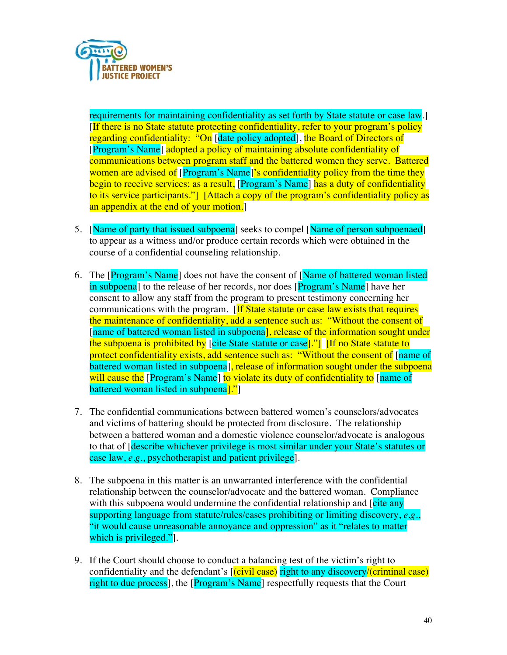

requirements for maintaining confidentiality as set forth by State statute or case law.] [If there is no State statute protecting confidentiality, refer to your program's policy regarding confidentiality: "On [date policy adopted], the Board of Directors of [Program's Name] adopted a policy of maintaining absolute confidentiality of communications between program staff and the battered women they serve. Battered women are advised of [Program's Name]'s confidentiality policy from the time they begin to receive services; as a result, [Program's Name] has a duty of confidentiality to its service participants."] [Attach a copy of the program's confidentiality policy as an appendix at the end of your motion.

- 5. [Name of party that issued subpoena] seeks to compel [Name of person subpoenaed] to appear as a witness and/or produce certain records which were obtained in the course of a confidential counseling relationship.
- 6. The [Program's Name] does not have the consent of [Name of battered woman listed] in subpoena] to the release of her records, nor does [Program's Name] have her consent to allow any staff from the program to present testimony concerning her communications with the program. [If State statute or case law exists that requires the maintenance of confidentiality, add a sentence such as: "Without the consent of [name of battered woman listed in subpoena], release of the information sought under the subpoena is prohibited by [cite State statute or case]."] [If no State statute to protect confidentiality exists, add sentence such as: "Without the consent of [name of battered woman listed in subpoena, release of information sought under the subpoena will cause the [Program's Name] to violate its duty of confidentiality to [name of battered woman listed in subpoena<sup>1."</sup>
- 7. The confidential communications between battered women's counselors/advocates and victims of battering should be protected from disclosure. The relationship between a battered woman and a domestic violence counselor/advocate is analogous to that of [describe whichever privilege is most similar under your State's statutes or case law, *e.g*., psychotherapist and patient privilege].
- 8. The subpoena in this matter is an unwarranted interference with the confidential relationship between the counselor/advocate and the battered woman. Compliance with this subpoena would undermine the confidential relationship and *cite any* supporting language from statute/rules/cases prohibiting or limiting discovery, *e.g*., "it would cause unreasonable annoyance and oppression" as it "relates to matter which is privileged.".
- 9. If the Court should choose to conduct a balancing test of the victim's right to confidentiality and the defendant's  $[(civil case)]$  right to any discovery/(criminal case) right to due process], the [Program's Name] respectfully requests that the Court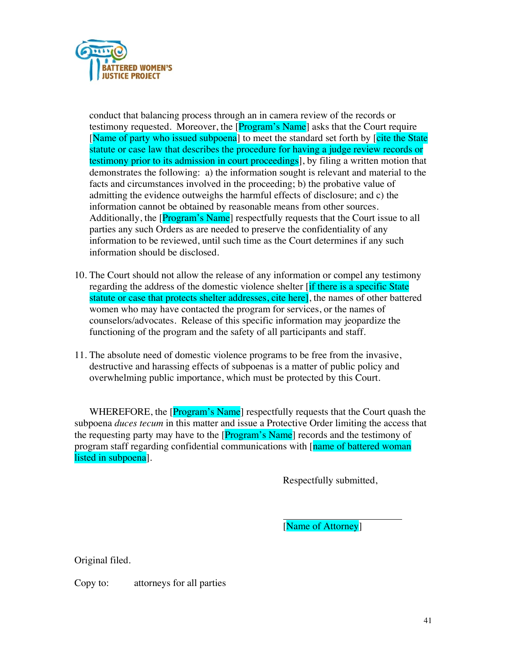

conduct that balancing process through an in camera review of the records or testimony requested. Moreover, the [Program's Name] asks that the Court require [Name of party who issued subpoena] to meet the standard set forth by [cite the State statute or case law that describes the procedure for having a judge review records or testimony prior to its admission in court proceedings], by filing a written motion that demonstrates the following: a) the information sought is relevant and material to the facts and circumstances involved in the proceeding; b) the probative value of admitting the evidence outweighs the harmful effects of disclosure; and c) the information cannot be obtained by reasonable means from other sources. Additionally, the [Program's Name] respectfully requests that the Court issue to all parties any such Orders as are needed to preserve the confidentiality of any information to be reviewed, until such time as the Court determines if any such information should be disclosed.

- 10. The Court should not allow the release of any information or compel any testimony regarding the address of the domestic violence shelter *if there is a specific State* statute or case that protects shelter addresses, cite here, the names of other battered women who may have contacted the program for services, or the names of counselors/advocates. Release of this specific information may jeopardize the functioning of the program and the safety of all participants and staff.
- 11. The absolute need of domestic violence programs to be free from the invasive, destructive and harassing effects of subpoenas is a matter of public policy and overwhelming public importance, which must be protected by this Court.

WHEREFORE, the [Program's Name] respectfully requests that the Court quash the subpoena *duces tecum* in this matter and issue a Protective Order limiting the access that the requesting party may have to the [Program's Name] records and the testimony of program staff regarding confidential communications with [name of battered woman] listed in subpoena].

Respectfully submitted,

[Name of Attorney]

Original filed.

Copy to: attorneys for all parties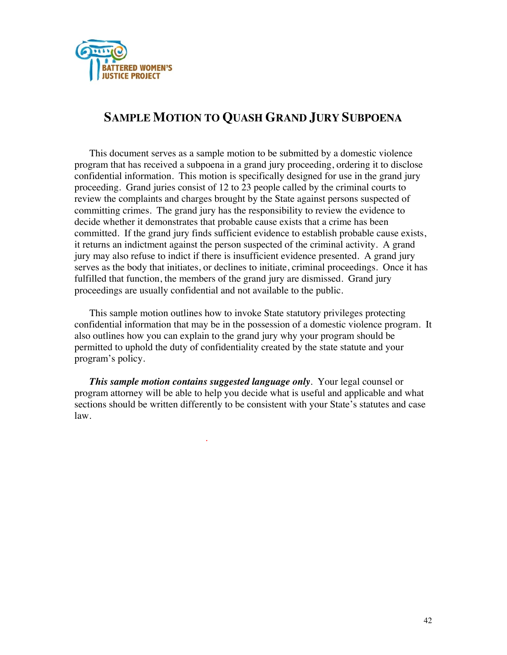

## **SAMPLE MOTION TO QUASH GRAND JURY SUBPOENA**

This document serves as a sample motion to be submitted by a domestic violence program that has received a subpoena in a grand jury proceeding, ordering it to disclose confidential information. This motion is specifically designed for use in the grand jury proceeding. Grand juries consist of 12 to 23 people called by the criminal courts to review the complaints and charges brought by the State against persons suspected of committing crimes. The grand jury has the responsibility to review the evidence to decide whether it demonstrates that probable cause exists that a crime has been committed. If the grand jury finds sufficient evidence to establish probable cause exists, it returns an indictment against the person suspected of the criminal activity. A grand jury may also refuse to indict if there is insufficient evidence presented. A grand jury serves as the body that initiates, or declines to initiate, criminal proceedings. Once it has fulfilled that function, the members of the grand jury are dismissed. Grand jury proceedings are usually confidential and not available to the public.

This sample motion outlines how to invoke State statutory privileges protecting confidential information that may be in the possession of a domestic violence program. It also outlines how you can explain to the grand jury why your program should be permitted to uphold the duty of confidentiality created by the state statute and your program's policy.

*This sample motion contains suggested language only*. Your legal counsel or program attorney will be able to help you decide what is useful and applicable and what sections should be written differently to be consistent with your State's statutes and case law.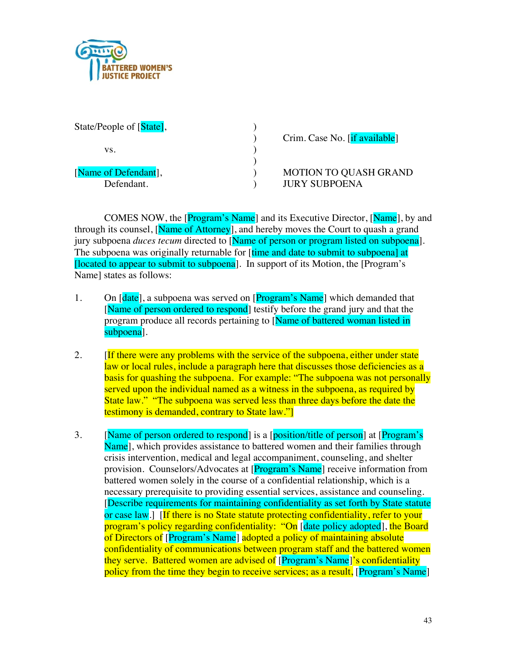

| State/People of [State], |                               |
|--------------------------|-------------------------------|
|                          | Crim. Case No. [if available] |
| VS.                      |                               |
|                          |                               |
| [Name of Defendant],     | <b>MOTION TO QUASH GRAND</b>  |
| Defendant.               | <b>JURY SUBPOENA</b>          |

COMES NOW, the [Program's Name] and its Executive Director, [Name], by and through its counsel, [Name of Attorney], and hereby moves the Court to quash a grand jury subpoena *duces tecum* directed to [Name of person or program listed on subpoena]. The subpoena was originally returnable for *firme* and date to submit to subpoenal at [located to appear to submit to subpoena]. In support of its Motion, the [Program's Name] states as follows:

- 1. On [date], a subpoena was served on [Program's Name] which demanded that [Name of person ordered to respond] testify before the grand jury and that the program produce all records pertaining to [Name of battered woman listed in subpoena].
- 2. **If there were any problems with the service of the subpoena, either under state** law or local rules, include a paragraph here that discusses those deficiencies as a basis for quashing the subpoena. For example: "The subpoena was not personally served upon the individual named as a witness in the subpoena, as required by State law." "The subpoena was served less than three days before the date the testimony is demanded, contrary to State law."]
- 3. [Name of person ordered to respond] is a [position/title of person] at [Program's Name], which provides assistance to battered women and their families through crisis intervention, medical and legal accompaniment, counseling, and shelter provision. Counselors/Advocates at [Program's Name] receive information from battered women solely in the course of a confidential relationship, which is a necessary prerequisite to providing essential services, assistance and counseling. [Describe requirements for maintaining confidentiality as set forth by State statute or case law.] [If there is no State statute protecting confidentiality, refer to your program's policy regarding confidentiality: "On [date policy adopted], the Board of Directors of [Program's Name] adopted a policy of maintaining absolute confidentiality of communications between program staff and the battered women they serve. Battered women are advised of [Program's Name]'s confidentiality policy from the time they begin to receive services; as a result, [Program's Name]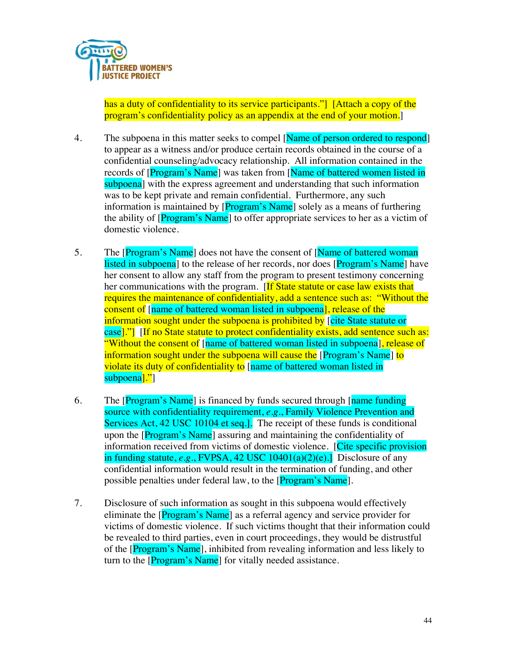

has a duty of confidentiality to its service participants." [Attach a copy of the program's confidentiality policy as an appendix at the end of your motion.]

- 4. The subpoena in this matter seeks to compel [Name of person ordered to respond] to appear as a witness and/or produce certain records obtained in the course of a confidential counseling/advocacy relationship. All information contained in the records of [Program's Name] was taken from [Name of battered women listed in subpoena] with the express agreement and understanding that such information was to be kept private and remain confidential. Furthermore, any such information is maintained by [Program's Name] solely as a means of furthering the ability of [Program's Name] to offer appropriate services to her as a victim of domestic violence.
- 5. The [Program's Name] does not have the consent of [Name of battered woman] listed in subpoena] to the release of her records, nor does [Program's Name] have her consent to allow any staff from the program to present testimony concerning her communications with the program. [If State statute or case law exists that requires the maintenance of confidentiality, add a sentence such as: "Without the consent of [name of battered woman listed in subpoena], release of the information sought under the subpoena is prohibited by [cite State statute or case<sup>[1]</sup> [If no State statute to protect confidentiality exists, add sentence such as: "Without the consent of [name of battered woman listed in subpoena], release of information sought under the subpoena will cause the [Program's Name] to violate its duty of confidentiality to [name of battered woman listed in subpoena<sup>[1]</sup>]
- 6. The  $[Program's Name]$  is financed by funds secured through  $[name~funding]$ source with confidentiality requirement, *e.g*., Family Violence Prevention and Services Act, 42 USC 10104 et seq.]. The receipt of these funds is conditional upon the [Program's Name] assuring and maintaining the confidentiality of information received from victims of domestic violence. [Cite specific provision] in funding statute, *e.g*., FVPSA, 42 USC 10401(a)(2)(e).] Disclosure of any confidential information would result in the termination of funding, and other possible penalties under federal law, to the [Program's Name].
- 7. Disclosure of such information as sought in this subpoena would effectively eliminate the [Program's Name] as a referral agency and service provider for victims of domestic violence. If such victims thought that their information could be revealed to third parties, even in court proceedings, they would be distrustful of the [Program's Name], inhibited from revealing information and less likely to turn to the [Program's Name] for vitally needed assistance.